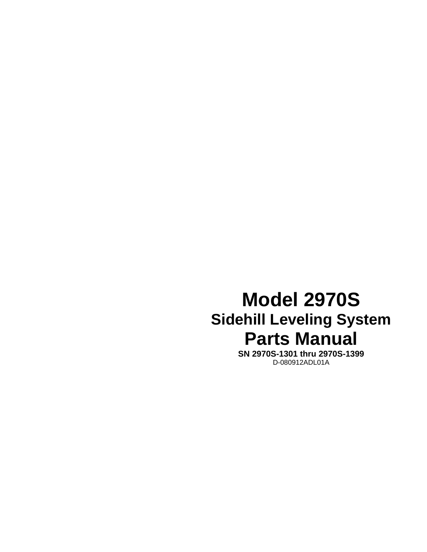# **Model 2970S Sidehill Leveling System Parts Manual**

**SN 2970S-1301 thru 2970S-1399**  D-080912ADL01A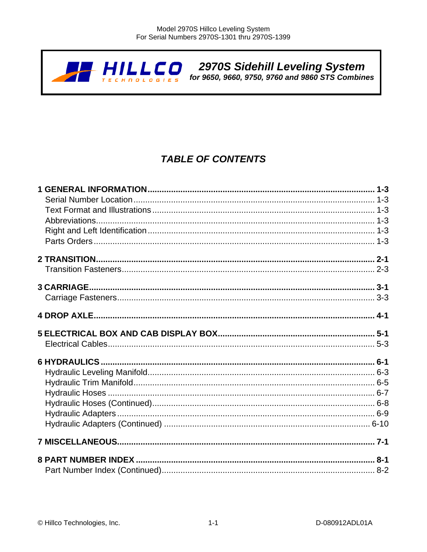

### **TABLE OF CONTENTS**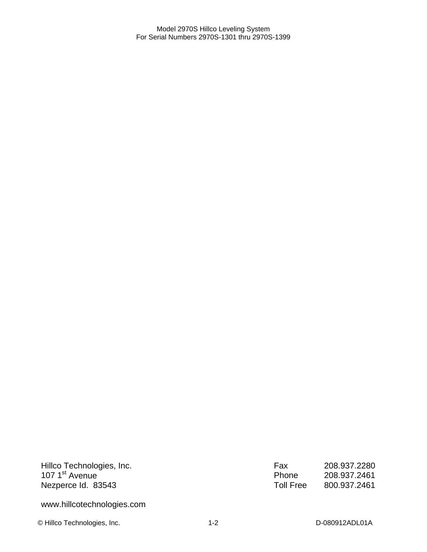Hillco Technologies, Inc. 107 1<sup>st</sup> Avenue Nezperce Id. 83543

www.hillcotechnologies.com

© Hillco Technologies, Inc. 1-2 1-2 D-080912ADL01A

| Fax       | 208.937.2280 |
|-----------|--------------|
| Phone     | 208.937.2461 |
| Toll Free | 800.937.2461 |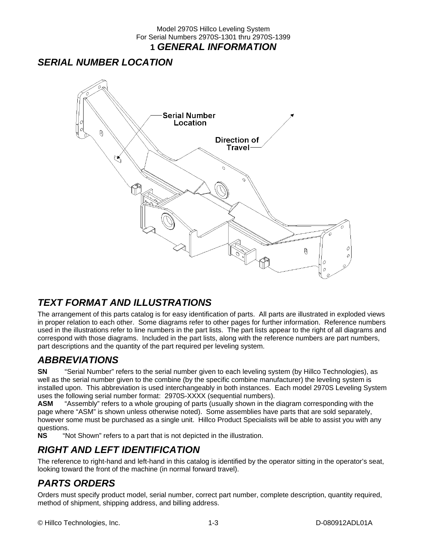### *SERIAL NUMBER LOCATION*



### *TEXT FORMAT AND ILLUSTRATIONS*

The arrangement of this parts catalog is for easy identification of parts. All parts are illustrated in exploded views in proper relation to each other. Some diagrams refer to other pages for further information. Reference numbers used in the illustrations refer to line numbers in the part lists. The part lists appear to the right of all diagrams and correspond with those diagrams. Included in the part lists, along with the reference numbers are part numbers, part descriptions and the quantity of the part required per leveling system.

### *ABBREVIATIONS*

**SN** "Serial Number" refers to the serial number given to each leveling system (by Hillco Technologies), as well as the serial number given to the combine (by the specific combine manufacturer) the leveling system is installed upon. This abbreviation is used interchangeably in both instances. Each model 2970S Leveling System uses the following serial number format: 2970S-XXXX (sequential numbers).

**ASM** "Assembly" refers to a whole grouping of parts (usually shown in the diagram corresponding with the page where "ASM" is shown unless otherwise noted). Some assemblies have parts that are sold separately, however some must be purchased as a single unit. Hillco Product Specialists will be able to assist you with any questions.

**NS** "Not Shown" refers to a part that is not depicted in the illustration.

### *RIGHT AND LEFT IDENTIFICATION*

The reference to right-hand and left-hand in this catalog is identified by the operator sitting in the operator's seat, looking toward the front of the machine (in normal forward travel).

### *PARTS ORDERS*

Orders must specify product model, serial number, correct part number, complete description, quantity required, method of shipment, shipping address, and billing address.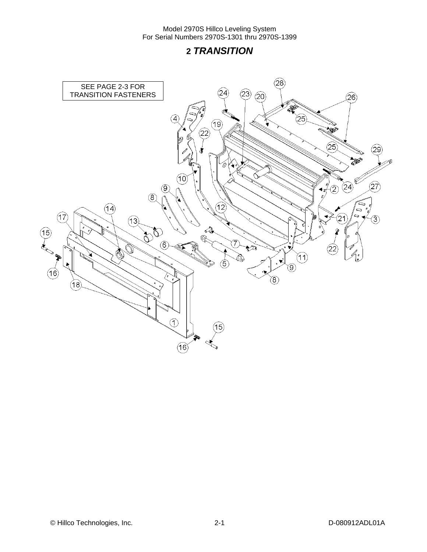### **2** *TRANSITION*

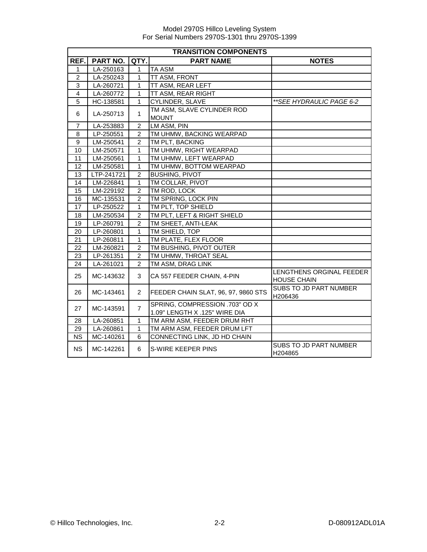|                | <b>TRANSITION COMPONENTS</b> |                |                                                                 |                                                |  |  |  |
|----------------|------------------------------|----------------|-----------------------------------------------------------------|------------------------------------------------|--|--|--|
| REF.           | <b>PART NO.</b>              | QTY.           | <b>PART NAME</b>                                                | <b>NOTES</b>                                   |  |  |  |
| 1              | LA-250163                    | 1              | <b>TA ASM</b>                                                   |                                                |  |  |  |
| $\overline{2}$ | LA-250243                    | 1              | TT ASM, FRONT                                                   |                                                |  |  |  |
| 3              | LA-260721                    | $\mathbf{1}$   | TT ASM, REAR LEFT                                               |                                                |  |  |  |
| 4              | LA-260772                    | $\mathbf{1}$   | TT ASM, REAR RIGHT                                              |                                                |  |  |  |
| 5              | HC-138581                    | $\mathbf{1}$   | CYLINDER, SLAVE                                                 | ** SEE HYDRAULIC PAGE 6-2                      |  |  |  |
| 6              | LA-250713                    | $\mathbf{1}$   | TM ASM, SLAVE CYLINDER ROD<br><b>MOUNT</b>                      |                                                |  |  |  |
| 7              | LA-253883                    | $\overline{2}$ | LM ASM, PIN                                                     |                                                |  |  |  |
| 8              | LP-250551                    | $\overline{2}$ | TM UHMW, BACKING WEARPAD                                        |                                                |  |  |  |
| 9              | LM-250541                    | $\overline{2}$ | TM PLT, BACKING                                                 |                                                |  |  |  |
| 10             | LM-250571                    | $\mathbf{1}$   | TM UHMW, RIGHT WEARPAD                                          |                                                |  |  |  |
| 11             | LM-250561                    | $\mathbf{1}$   | TM UHMW, LEFT WEARPAD                                           |                                                |  |  |  |
| 12             | LM-250581                    | $\mathbf{1}$   | TM UHMW, BOTTOM WEARPAD                                         |                                                |  |  |  |
| 13             | LTP-241721                   | $\overline{2}$ | <b>BUSHING, PIVOT</b>                                           |                                                |  |  |  |
| 14             | LM-226841                    | $\mathbf{1}$   | TM COLLAR, PIVOT                                                |                                                |  |  |  |
| 15             | LM-229192                    | $\overline{2}$ | TM ROD, LOCK                                                    |                                                |  |  |  |
| 16             | MC-135531                    | $\overline{2}$ | TM SPRING, LOCK PIN                                             |                                                |  |  |  |
| 17             | LP-250522                    | $\mathbf{1}$   | TM PLT, TOP SHIELD                                              |                                                |  |  |  |
| 18             | LM-250534                    | $\overline{c}$ | TM PLT, LEFT & RIGHT SHIELD                                     |                                                |  |  |  |
| 19             | LP-260791                    | $\overline{2}$ | TM SHEET, ANTI-LEAK                                             |                                                |  |  |  |
| 20             | $LP-260801$                  | 1              | TM SHIELD, TOP                                                  |                                                |  |  |  |
| 21             | LP-260811                    | $\overline{1}$ | TM PLATE, FLEX FLOOR                                            |                                                |  |  |  |
| 22             | LM-260821                    | $\overline{c}$ | TM BUSHING, PIVOT OUTER                                         |                                                |  |  |  |
| 23             | LP-261351                    | $\overline{2}$ | TM UHMW, THROAT SEAL                                            |                                                |  |  |  |
| 24             | LA-261021                    | 2              | TM ASM, DRAG LINK                                               |                                                |  |  |  |
| 25             | MC-143632                    | 3              | CA 557 FEEDER CHAIN, 4-PIN                                      | LENGTHENS ORGINAL FEEDER<br><b>HOUSE CHAIN</b> |  |  |  |
| 26             | MC-143461                    | $\overline{2}$ | FEEDER CHAIN SLAT, 96, 97, 9860 STS                             | SUBS TO JD PART NUMBER<br>H206436              |  |  |  |
| 27             | MC-143591                    | $\overline{7}$ | SPRING, COMPRESSION .703" OD X<br>1.09" LENGTH X .125" WIRE DIA |                                                |  |  |  |
| 28             | LA-260851                    | $\mathbf{1}$   | TM ARM ASM, FEEDER DRUM RHT                                     |                                                |  |  |  |
| 29             | LA-260861                    | $\mathbf{1}$   | TM ARM ASM, FEEDER DRUM LFT                                     |                                                |  |  |  |
| <b>NS</b>      | MC-140261                    | 6              | CONNECTING LINK, JD HD CHAIN                                    |                                                |  |  |  |
| <b>NS</b>      | MC-142261                    | 6              | S-WIRE KEEPER PINS                                              | SUBS TO JD PART NUMBER<br>H204865              |  |  |  |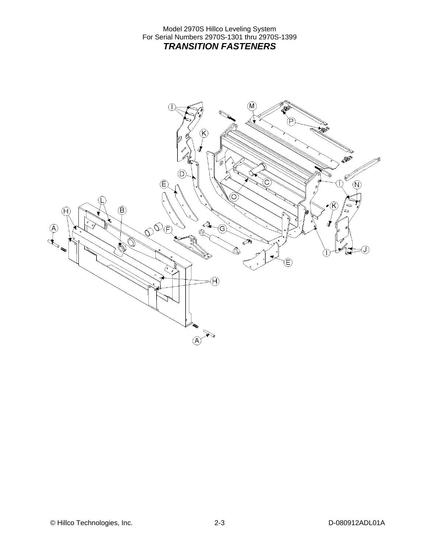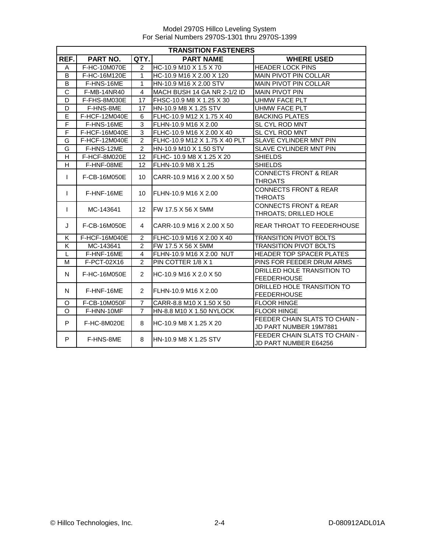|                | <b>TRANSITION FASTENERS</b> |                 |                               |                                                           |  |  |
|----------------|-----------------------------|-----------------|-------------------------------|-----------------------------------------------------------|--|--|
| REF.           | PART NO.                    | QTY.            | <b>PART NAME</b>              | <b>WHERE USED</b>                                         |  |  |
| A              | F-HC-10M070E                | $\overline{2}$  | HC-10.9 M10 X 1.5 X 70        | <b>HEADER LOCK PINS</b>                                   |  |  |
| B              | F-HC-16M120E                | $\mathbf{1}$    | HC-10.9 M16 X 2.00 X 120      | MAIN PIVOT PIN COLLAR                                     |  |  |
| B              | F-HNS-16ME                  | $\mathbf{1}$    | HN-10.9 M16 X 2.00 STV        | MAIN PIVOT PIN COLLAR                                     |  |  |
| C              | F-MB-14NR40                 | $\overline{4}$  | MACH BUSH 14 GA NR 2-1/2 ID   | <b>MAIN PIVOT PIN</b>                                     |  |  |
| D              | F-FHS-8M030E                | 17              | FHSC-10.9 M8 X 1.25 X 30      | <b>UHMW FACE PLT</b>                                      |  |  |
| D              | F-HNS-8ME                   | 17              | HN-10.9 M8 X 1.25 STV         | <b>UHMW FACE PLT</b>                                      |  |  |
| E              | F-HCF-12M040E               | 6               | FLHC-10.9 M12 X 1.75 X 40     | <b>BACKING PLATES</b>                                     |  |  |
| F              | F-HNS-16ME                  | 3               | FLHN-10.9 M16 X 2.00          | SL CYL ROD MNT                                            |  |  |
| $\overline{F}$ | F-HCF-16M040E               | 3               | FLHC-10.9 M16 X 2.00 X 40     | SL CYL ROD MNT                                            |  |  |
| G              | F-HCF-12M040E               | 2               | FLHC-10.9 M12 X 1.75 X 40 PLT | SLAVE CYLINDER MNT PIN                                    |  |  |
| G              | F-HNS-12ME                  | $\overline{2}$  | HN-10.9 M10 X 1.50 STV        | <b>SLAVE CYLINDER MNT PIN</b>                             |  |  |
| H              | F-HCF-8M020E                | 12              | FLHC-10.9 M8 X 1.25 X 20      | <b>SHIELDS</b>                                            |  |  |
| H              | F-HNF-08ME                  | 12              | FLHN-10.9 M8 X 1.25           | <b>SHIELDS</b>                                            |  |  |
| $\mathbf{I}$   | F-CB-16M050E                | 10              | CARR-10.9 M16 X 2.00 X 50     | <b>CONNECTS FRONT &amp; REAR</b><br><b>THROATS</b>        |  |  |
| $\mathbf{I}$   | F-HNF-16ME                  | 10              | FLHN-10.9 M16 X 2.00          | <b>CONNECTS FRONT &amp; REAR</b><br><b>THROATS</b>        |  |  |
| $\mathsf{I}$   | MC-143641                   | 12 <sup>2</sup> | FW 17.5 X 56 X 5MM            | <b>CONNECTS FRONT &amp; REAR</b><br>THROATS; DRILLED HOLE |  |  |
| J              | F-CB-16M050E                | 4               | CARR-10.9 M16 X 2.00 X 50     | <b>REAR THROAT TO FEEDERHOUSE</b>                         |  |  |
| K              | F-HCF-16M040E               | $\overline{2}$  | FLHC-10.9 M16 X 2.00 X 40     | <b>TRANSITION PIVOT BOLTS</b>                             |  |  |
| Κ              | MC-143641                   | $\overline{2}$  | FW 17.5 X 56 X 5MM            | <b>TRANSITION PIVOT BOLTS</b>                             |  |  |
| L              | F-HNF-16ME                  | 4               | FLHN-10.9 M16 X 2.00 NUT      | HEADER TOP SPACER PLATES                                  |  |  |
| M              | F-PCT-02X16                 | $\mathcal{P}$   | PIN COTTER 1/8 X 1            | PINS FOR FEEDER DRUM ARMS                                 |  |  |
| $\mathsf{N}$   | F-HC-16M050E                | $\overline{2}$  | HC-10.9 M16 X 2.0 X 50        | DRILLED HOLE TRANSITION TO<br><b>FEEDERHOUSE</b>          |  |  |
| N              | F-HNF-16ME                  | $\overline{2}$  | FLHN-10.9 M16 X 2.00          | DRILLED HOLE TRANSITION TO<br><b>FEEDERHOUSE</b>          |  |  |
| O              | F-CB-10M050F                | $\overline{7}$  | CARR-8.8 M10 X 1.50 X 50      | <b>FLOOR HINGE</b>                                        |  |  |
| $\Omega$       | F-HNN-10MF                  | $\overline{7}$  | HN-8.8 M10 X 1.50 NYLOCK      | <b>FLOOR HINGE</b>                                        |  |  |
| P              | F-HC-8M020E                 | 8               | HC-10.9 M8 X 1.25 X 20        | FEEDER CHAIN SLATS TO CHAIN -<br>JD PART NUMBER 19M7881   |  |  |
| P              | F-HNS-8ME                   | 8               | HN-10.9 M8 X 1.25 STV         | FEEDER CHAIN SLATS TO CHAIN -<br>JD PART NUMBER E64256    |  |  |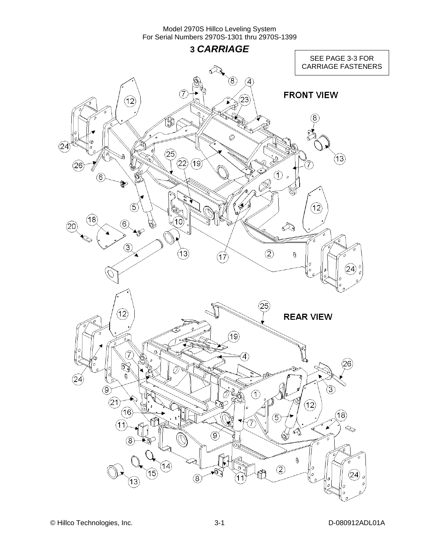**3** *CARRIAGE*  SEE PAGE 3-3 FOR CARRIAGE FASTENERS⋖  $\widehat{8}$  $\left( 4\right)$ **FRONT VIEW**  $\widehat{23}$  $(12)$ ์<br>เหี 8 ٦  $\oslash$  $(24)$  $(25)$  $\mathfrak{F}$  $(22)(19)$  $(26)$  $\sum_{k=1}^{n}$  $\widehat{6}$ لكعا Á  $\circled$ 12) Q (18  $\circled6$ 10  $(20)$  $\mathbb{Q}$  $\circled{3}$  $(2)$  $(13)$  $\theta$  $(17)$ 24  $\left( 25\right)$  $(12)$ **REAR VIEW**  $(19)$  $\left( \widehat{4}\right)$ 26  $(24)$  $\circledS$ 3)  $\odot$  $(2)$  $\widehat{12}$  $(16)$  $(18)$ 5  $(11)$ 7  $\ll$ ୣୣ  $\left( 9\right)$ Ò  $\left( 8\right)$ O  $^\circledR$  $(14)$  $\circled{2}$ Q. (15) 24  $\circledR$  $(13)$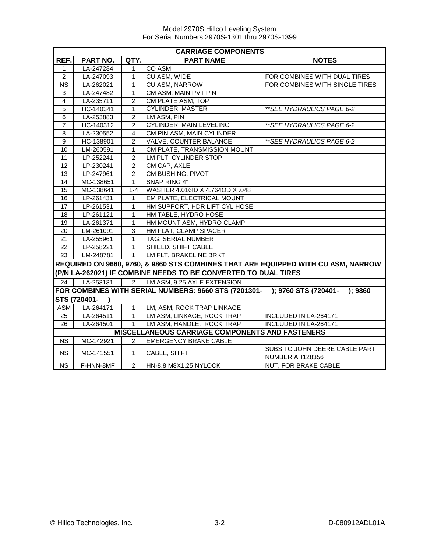|                 | <b>CARRIAGE COMPONENTS</b> |                |                                                                                   |                                                                                   |  |
|-----------------|----------------------------|----------------|-----------------------------------------------------------------------------------|-----------------------------------------------------------------------------------|--|
| REF.            | PART NO.                   | QTY.           | <b>PART NAME</b>                                                                  | <b>NOTES</b>                                                                      |  |
| $\mathbf{1}$    | LA-247284                  | 1              | <b>CO ASM</b>                                                                     |                                                                                   |  |
| $\overline{2}$  | LA-247093                  | 1              | CU ASM, WIDE                                                                      | FOR COMBINES WITH DUAL TIRES                                                      |  |
| <b>NS</b>       | LA-262021                  | 1              | <b>CU ASM, NARROW</b>                                                             | FOR COMBINES WITH SINGLE TIRES                                                    |  |
| 3               | LA-247482                  | 1              | CM ASM, MAIN PVT PIN                                                              |                                                                                   |  |
| $\overline{4}$  | LA-235711                  | $\overline{2}$ | CM PLATE ASM, TOP                                                                 |                                                                                   |  |
| $\overline{5}$  | HC-140341                  | 1              | <b>CYLINDER, MASTER</b>                                                           | **SEE HYDRAULICS PAGE 6-2                                                         |  |
| 6               | LA-253883                  | $\overline{2}$ | LM ASM, PIN                                                                       |                                                                                   |  |
| $\overline{7}$  | HC-140312                  | $\overline{2}$ | <b>CYLINDER, MAIN LEVELING</b>                                                    | **SEE HYDRAULICS PAGE 6-2                                                         |  |
| 8               | LA-230552                  | 4              | CM PIN ASM, MAIN CYLINDER                                                         |                                                                                   |  |
| $\overline{9}$  | HC-138901                  | $\overline{2}$ | VALVE, COUNTER BALANCE                                                            | ** SEE HYDRAULICS PAGE 6-2                                                        |  |
| $\overline{10}$ | LM-260591                  | 1              | CM PLATE, TRANSMISSION MOUNT                                                      |                                                                                   |  |
| 11              | LP-252241                  | $\overline{2}$ | LM PLT, CYLINDER STOP                                                             |                                                                                   |  |
| 12              | LP-230241                  | $\overline{2}$ | CM CAP, AXLE                                                                      |                                                                                   |  |
| 13              | LP-247961                  | $\overline{2}$ | CM BUSHING, PIVOT                                                                 |                                                                                   |  |
| 14              | MC-138651                  | 1              | <b>SNAP RING 4"</b>                                                               |                                                                                   |  |
| 15              | MC-138641                  | $1 - 4$        | WASHER 4.016ID X 4.764OD X .048                                                   |                                                                                   |  |
| 16              | LP-261431                  | 1              | EM PLATE, ELECTRICAL MOUNT                                                        |                                                                                   |  |
| 17              | LP-261531                  | 1              | HM SUPPORT, HDR LIFT CYL HOSE                                                     |                                                                                   |  |
| 18              | LP-261121                  | 1              | HM TABLE, HYDRO HOSE                                                              |                                                                                   |  |
| 19              | LA-261371                  | 1              | HM MOUNT ASM, HYDRO CLAMP                                                         |                                                                                   |  |
| 20              | LM-261091                  | 3              | HM FLAT, CLAMP SPACER                                                             |                                                                                   |  |
| 21              | LA-255961                  | $\mathbf{1}$   | TAG, SERIAL NUMBER                                                                |                                                                                   |  |
| 22              | LP-258221                  | $\mathbf{1}$   | SHIELD, SHIFT CABLE                                                               |                                                                                   |  |
| 23              | LM-248781                  | $\mathbf{1}$   | LM FLT, BRAKELINE BRKT                                                            |                                                                                   |  |
|                 |                            |                |                                                                                   | REQUIRED ON 9660, 9760, & 9860 STS COMBINES THAT ARE EQUIPPED WITH CU ASM, NARROW |  |
|                 |                            |                | (P/N LA-262021) IF COMBINE NEEDS TO BE CONVERTED TO DUAL TIRES                    |                                                                                   |  |
| 24              | LA-253131                  | $\overline{2}$ | LM ASM, 9.25 AXLE EXTENSION                                                       |                                                                                   |  |
|                 |                            |                | FOR COMBINES WITH SERIAL NUMBERS: 9660 STS (7201301- ); 9760 STS (720401- ); 9860 |                                                                                   |  |
|                 | <b>STS (720401-</b>        |                |                                                                                   |                                                                                   |  |
| ASM             | LA-264171                  | $\mathbf{1}$   | LM, ASM, ROCK TRAP LINKAGE                                                        |                                                                                   |  |
| 25              | LA-264511                  | $\mathbf{1}$   | LM ASM, LINKAGE, ROCK TRAP                                                        | INCLUDED IN LA-264171                                                             |  |
| 26              | LA-264501                  | $\mathbf{1}$   | LM ASM, HANDLE, ROCK TRAP                                                         | INCLUDED IN LA-264171                                                             |  |
|                 |                            |                | <b>MISCELLANEOUS CARRIAGE COMPONENTS AND FASTENERS</b>                            |                                                                                   |  |
| <b>NS</b>       | MC-142921                  | $\overline{2}$ | <b>EMERGENCY BRAKE CABLE</b>                                                      |                                                                                   |  |
| <b>NS</b>       | MC-141551                  | 1.             | CABLE, SHIFT                                                                      | SUBS TO JOHN DEERE CABLE PART<br>NUMBER AH128356                                  |  |
| <b>NS</b>       | F-HNN-8MF                  | $\overline{2}$ | HN-8.8 M8X1.25 NYLOCK                                                             | NUT, FOR BRAKE CABLE                                                              |  |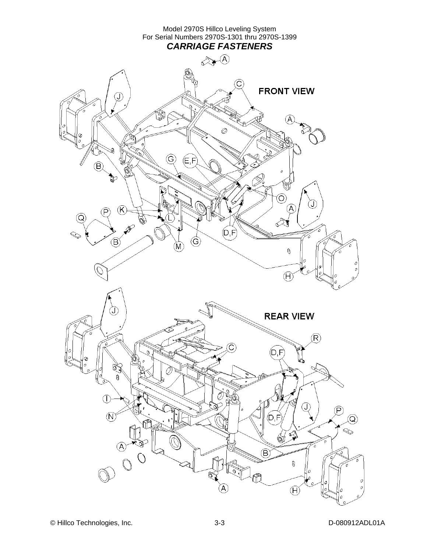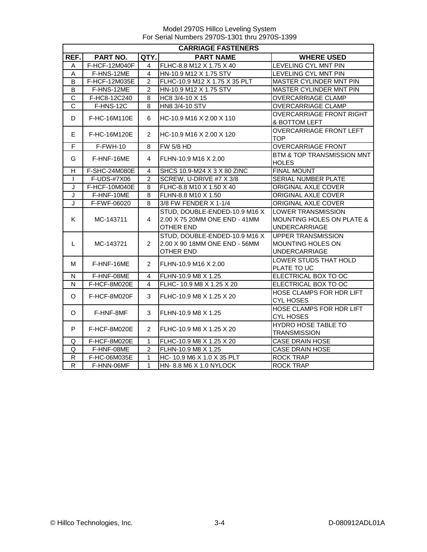|                         | <b>CARRIAGE FASTENERS</b> |                |                                                                                    |                                                                                           |  |  |  |
|-------------------------|---------------------------|----------------|------------------------------------------------------------------------------------|-------------------------------------------------------------------------------------------|--|--|--|
| REF.                    | PART NO.                  | QTY.           | <b>PART NAME</b>                                                                   | <b>WHERE USED</b>                                                                         |  |  |  |
| Α                       | F-HCF-12M040F             | 4              | FLHC-8.8 M12 X 1.75 X 40                                                           | LEVELING CYL MNT PIN                                                                      |  |  |  |
| A                       | F-HNS-12ME                | 4              | HN-10.9 M12 X 1.75 STV                                                             | LEVELING CYL MNT PIN                                                                      |  |  |  |
| B                       | F-HCF-12M035E             | $\overline{c}$ | FLHC-10.9 M12 X 1.75 X 35 PLT                                                      | MASTER CYLINDER MNT PIN                                                                   |  |  |  |
| B                       | F-HNS-12ME                | $\overline{2}$ | HN-10.9 M12 X 1.75 STV                                                             | <b>MASTER CYLINDER MNT PIN</b>                                                            |  |  |  |
| C                       | F-HC8-12C240              | 8              | HC8 3/4-10 X 15                                                                    | <b>OVERCARRIAGE CLAMP</b>                                                                 |  |  |  |
| $\overline{C}$          | F-HNS-12C                 | 8              | HN8 3/4-10 STV                                                                     | OVERCARRIAGE CLAMP                                                                        |  |  |  |
| D                       | F-HC-16M110E              | 6              | HC-10.9 M16 X 2.00 X 110                                                           | OVERCARRIAGE FRONT RIGHT<br>& BOTTOM LEFT                                                 |  |  |  |
| E.                      | F-HC-16M120E              | $\overline{2}$ | HC-10.9 M16 X 2.00 X 120                                                           | OVERCARRIAGE FRONT LEFT<br><b>TOP</b>                                                     |  |  |  |
| $\mathsf F$             | F-FWH-10                  | 8              | <b>FW 5/8 HD</b>                                                                   | <b>OVERCARRIAGE FRONT</b>                                                                 |  |  |  |
| G                       | F-HNF-16ME                | 4              | FLHN-10.9 M16 X 2.00                                                               | BTM & TOP TRANSMISSION MNT<br><b>HOLES</b>                                                |  |  |  |
| H                       | F-SHC-24M080E             | 4              | SHCS 10.9-M24 X 3 X 80 ZINC                                                        | <b>FINAL MOUNT</b>                                                                        |  |  |  |
| $\mathbf{I}$            | F-UDS-#7X06               | $\overline{c}$ | SCREW, U-DRIVE #7 X 3/8                                                            | SERIAL NUMBER PLATE                                                                       |  |  |  |
| J                       | F-HCF-10M040E             | 8              | FLHC-8.8 M10 X 1.50 X 40                                                           | ORIGINAL AXLE COVER                                                                       |  |  |  |
| $\overline{\mathsf{J}}$ | F-HNF-10ME                | 8              | FLHN-8.8 M10 X 1.50                                                                | ORIGINAL AXLE COVER                                                                       |  |  |  |
| J                       | F-FWF-06020               | 8              | 3/8 FW FENDER X 1-1/4                                                              | ORIGINAL AXLE COVER                                                                       |  |  |  |
| K                       | MC-143711                 | 4              | STUD, DOUBLE-ENDED-10.9 M16 X<br>2.00 X 75 20MM ONE END - 41MM<br><b>OTHER END</b> | <b>LOWER TRANSMISSION</b><br><b>MOUNTING HOLES ON PLATE &amp;</b><br><b>UNDERCARRIAGE</b> |  |  |  |
| L                       | MC-143721                 | $\overline{2}$ | STUD, DOUBLE-ENDED-10.9 M16 X<br>2.00 X 90 18MM ONE END - 56MM<br><b>OTHER END</b> | <b>UPPER TRANSMISSION</b><br>MOUNTING HOLES ON<br><b>UNDERCARRIAGE</b>                    |  |  |  |
| м                       | F-HNF-16ME                | $\overline{2}$ | FLHN-10.9 M16 X 2.00                                                               | LOWER STUDS THAT HOLD<br>PLATE TO UC                                                      |  |  |  |
| N                       | F-HNF-08ME                | 4              | FLHN-10.9 M8 X 1.25                                                                | ELECTRICAL BOX TO OC                                                                      |  |  |  |
| N                       | F-HCF-8M020E              | 4              | FLHC- 10.9 M8 X 1.25 X 20                                                          | ELECTRICAL BOX TO OC                                                                      |  |  |  |
| O                       | F-HCF-8M020F              | 3              | FLHC-10.9 M8 X 1.25 X 20                                                           | HOSE CLAMPS FOR HDR LIFT<br><b>CYL HOSES</b>                                              |  |  |  |
| O                       | F-HNF-8MF                 | 3              | FLHN-10.9 M8 X 1.25                                                                | HOSE CLAMPS FOR HDR LIFT<br><b>CYL HOSES</b>                                              |  |  |  |
| P                       | F-HCF-8M020E              | $\overline{2}$ | FLHC-10.9 M8 X 1.25 X 20                                                           | <b>HYDRO HOSE TABLE TO</b><br><b>TRANSMISSION</b>                                         |  |  |  |
| Q                       | F-HCF-8M020E              | 1              | FLHC-10.9 M8 X 1.25 X 20                                                           | <b>CASE DRAIN HOSE</b>                                                                    |  |  |  |
| Q                       | F-HNF-08ME                | $\overline{2}$ | FLHN-10.9 M8 X 1.25                                                                | <b>CASE DRAIN HOSE</b>                                                                    |  |  |  |
| ${\sf R}$               | F-HC-06M035E              | $\mathbf{1}$   | HC-10.9 M6 X 1.0 X 35 PLT                                                          | <b>ROCK TRAP</b>                                                                          |  |  |  |
| $\overline{R}$          | F-HNN-06MF                | $\mathbf{1}$   | HN- 8.8 M6 X 1.0 NYLOCK                                                            | <b>ROCK TRAP</b>                                                                          |  |  |  |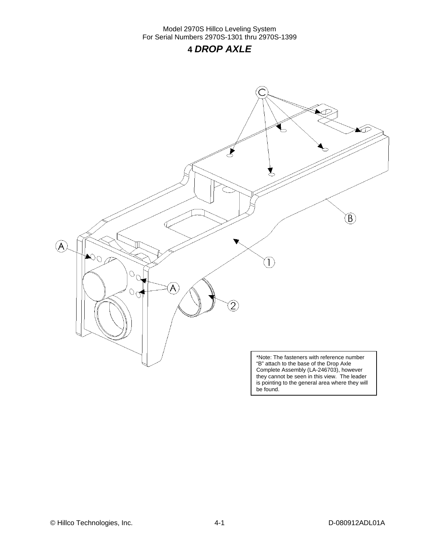### **4** *DROP AXLE*



© Hillco Technologies, Inc. 1999 12:00 12:00 12:00 14-1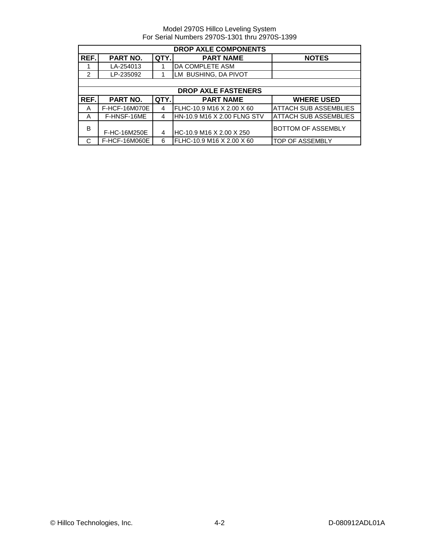|                | <b>DROP AXLE COMPONENTS</b> |      |                             |                              |  |  |  |
|----------------|-----------------------------|------|-----------------------------|------------------------------|--|--|--|
| REF.           | PART NO.                    | QTY. | <b>PART NAME</b>            | <b>NOTES</b>                 |  |  |  |
|                | LA-254013                   |      | DA COMPLETE ASM             |                              |  |  |  |
| $\overline{2}$ | LP-235092                   |      | LM BUSHING, DA PIVOT        |                              |  |  |  |
|                |                             |      |                             |                              |  |  |  |
|                |                             |      | <b>DROP AXLE FASTENERS</b>  |                              |  |  |  |
| REF.           | PART NO.                    | QTY. | <b>PART NAME</b>            | <b>WHERE USED</b>            |  |  |  |
| A              | F-HCF-16M070E               | 4    | FLHC-10.9 M16 X 2.00 X 60   | <b>ATTACH SUB ASSEMBLIES</b> |  |  |  |
| A              | F-HNSF-16ME                 | 4    | HN-10.9 M16 X 2.00 FLNG STV | IATTACH SUB ASSEMBLIES       |  |  |  |
| B              | F-HC-16M250E                | 4    | HC-10.9 M16 X 2.00 X 250    | <b>BOTTOM OF ASSEMBLY</b>    |  |  |  |
| C              | F-HCF-16M060E               | 6    | FLHC-10.9 M16 X 2.00 X 60   | <b>TOP OF ASSEMBLY</b>       |  |  |  |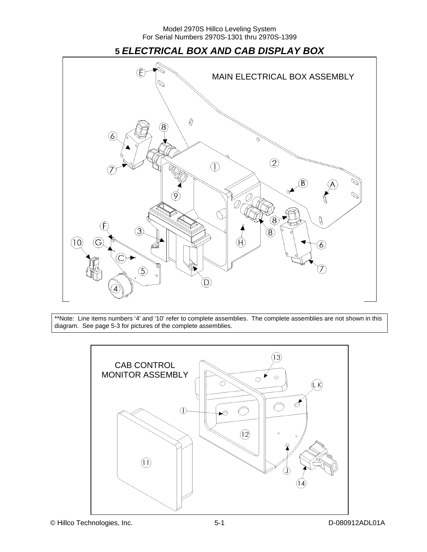

\*\*Note: Line items numbers '4' and '10' refer to complete assemblies. The complete assemblies are not shown in this diagram. See page 5-3 for pictures of the complete assemblies.

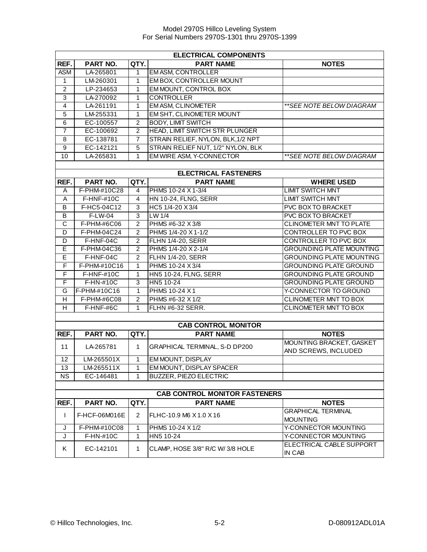|                                      | <b>ELECTRICAL COMPONENTS</b> |                |                                    |                                                  |  |  |
|--------------------------------------|------------------------------|----------------|------------------------------------|--------------------------------------------------|--|--|
| REF.                                 | PART NO.                     | QTY.           | <b>PART NAME</b>                   | <b>NOTES</b>                                     |  |  |
| <b>ASM</b>                           | LA-265801                    | 1              | <b>EM ASM, CONTROLLER</b>          |                                                  |  |  |
| 1                                    | LM-260301                    | 1              | EM BOX, CONTROLLER MOUNT           |                                                  |  |  |
| $\overline{2}$                       | LP-234653                    | 1              | EM MOUNT, CONTROL BOX              |                                                  |  |  |
| $\overline{3}$                       | LA-270092                    | 1              | <b>CONTROLLER</b>                  |                                                  |  |  |
| $\overline{4}$                       | LA-261191                    | 1              | <b>EM ASM, CLINOMETER</b>          | **SEE NOTE BELOW DIAGRAM                         |  |  |
| $\overline{5}$                       | LM-255331                    | 1              | EM SHT, CLINOMETER MOUNT           |                                                  |  |  |
| $\overline{6}$                       | EC-100557                    | $\overline{c}$ | <b>BODY, LIMIT SWITCH</b>          |                                                  |  |  |
| $\overline{7}$                       | EC-100692                    | $\overline{c}$ | HEAD, LIMIT SWITCH STR PLUNGER     |                                                  |  |  |
| 8                                    | EC-138781                    | $\overline{7}$ | STRAIN RELIEF, NYLON, BLK, 1/2 NPT |                                                  |  |  |
| $\overline{9}$                       | EC-142121                    | 5              | STRAIN RELIEF NUT, 1/2" NYLON, BLK |                                                  |  |  |
| 10                                   | LA-265831                    | 1              | EM WIRE ASM, Y-CONNECTOR           | **SEE NOTE BELOW DIAGRAM                         |  |  |
|                                      |                              |                |                                    |                                                  |  |  |
|                                      |                              |                | <b>ELECTRICAL FASTENERS</b>        |                                                  |  |  |
| REF.                                 | PART NO.                     | QTY.           | <b>PART NAME</b>                   | <b>WHERE USED</b>                                |  |  |
| A                                    | F-PHM-#10C28                 | 4              | PHMS 10-24 X 1-3/4                 | <b>LIMIT SWITCH MNT</b>                          |  |  |
| A                                    | F-HNF-#10C                   | 4              | HN 10-24, FLNG, SERR               | <b>LIMIT SWITCH MNT</b>                          |  |  |
| B                                    | F-HC5-04C12                  | 3              | HC5 1/4-20 X 3/4                   | <b>PVC BOX TO BRACKET</b>                        |  |  |
| B                                    | F-LW-04                      | $\overline{3}$ | $LW$ 1/4                           | <b>PVC BOX TO BRACKET</b>                        |  |  |
| $\overline{\text{c}}$                | F-PHM-#6C06                  | $\overline{2}$ | PHMS #6-32 X 3/8                   | <b>CLINOMETER MNT TO PLATE</b>                   |  |  |
| D                                    | F-PHM-04C24                  | $\overline{2}$ | PHMS 1/4-20 X 1-1/2                | CONTROLLER TO PVC BOX                            |  |  |
| D                                    | F-HNF-04C                    | $\overline{2}$ | <b>FLHN 1/4-20, SERR</b>           | CONTROLLER TO PVC BOX                            |  |  |
| E                                    | F-PHM-04C36                  | $\overline{2}$ | PHMS 1/4-20 X 2-1/4                | <b>GROUNDING PLATE MOUNTING</b>                  |  |  |
| E                                    | F-HNF-04C                    | $\overline{2}$ | <b>FLHN 1/4-20, SERR</b>           | <b>GROUNDING PLATE MOUNTING</b>                  |  |  |
| F                                    | F-PHM-#10C16                 | $\mathbf{1}$   | PHMS 10-24 X 3/4                   | <b>GROUNDING PLATE GROUND</b>                    |  |  |
| F                                    | F-HNF-#10C                   | $\mathbf{1}$   | <b>HN5 10-24, FLNG, SERR</b>       | <b>GROUNDING PLATE GROUND</b>                    |  |  |
| F                                    | F-HN-#10C                    | 3              | HN5 10-24                          | <b>GROUNDING PLATE GROUND</b>                    |  |  |
| G                                    | F-PHM-#10C16                 | $\mathbf{1}$   | PHMS 10-24 X1                      | Y-CONNECTOR TO GROUND                            |  |  |
| H                                    | F-PHM-#6C08                  | $\overline{2}$ | PHMS #6-32 X 1/2                   | <b>CLINOMETER MNT TO BOX</b>                     |  |  |
| H                                    | F-HNF-#6C                    | 1              | FLHN #6-32 SERR.                   | CLINOMETER MNT TO BOX                            |  |  |
|                                      |                              |                |                                    |                                                  |  |  |
|                                      |                              |                | <b>CAB CONTROL MONITOR</b>         |                                                  |  |  |
| REF.                                 | PART NO.                     | QTY.           | <b>PART NAME</b>                   | <b>NOTES</b>                                     |  |  |
| 11                                   | LA-265781                    | $\mathbf{1}$   | GRAPHICAL TERMINAL, S-D DP200      | MOUNTING BRACKET, GASKET<br>AND SCREWS, INCLUDED |  |  |
| $\overline{12}$                      | LM-265501X                   | $\mathbf{1}$   | <b>EM MOUNT, DISPLAY</b>           |                                                  |  |  |
| 13                                   | LM-265511X                   | 1              | EM MOUNT, DISPLAY SPACER           |                                                  |  |  |
| <b>NS</b>                            | EC-146481                    | $\mathbf{1}$   | <b>BUZZER, PIEZO ELECTRIC</b>      |                                                  |  |  |
|                                      |                              |                |                                    |                                                  |  |  |
| <b>CAB CONTROL MONITOR FASTENERS</b> |                              |                |                                    |                                                  |  |  |
| REF.                                 | PART NO.                     | QTY.           | <b>PART NAME</b>                   | <b>NOTES</b>                                     |  |  |
| L                                    | F-HCF-06M016E                | 2              | FLHC-10.9 M6 X 1.0 X 16            | <b>GRAPHICAL TERMINAL</b><br><b>MOUNTING</b>     |  |  |
| J                                    | F-PHM-#10C08                 | 1              | PHMS 10-24 X 1/2                   | Y-CONNECTOR MOUNTING                             |  |  |
| J                                    | F-HN-#10C                    | 1              | HN5 10-24                          | Y-CONNECTOR MOUNTING                             |  |  |
| Κ                                    | EC-142101                    | 1              | CLAMP, HOSE 3/8" R/C W/ 3/8 HOLE   | ELECTRICAL CABLE SUPPORT<br>IN CAB               |  |  |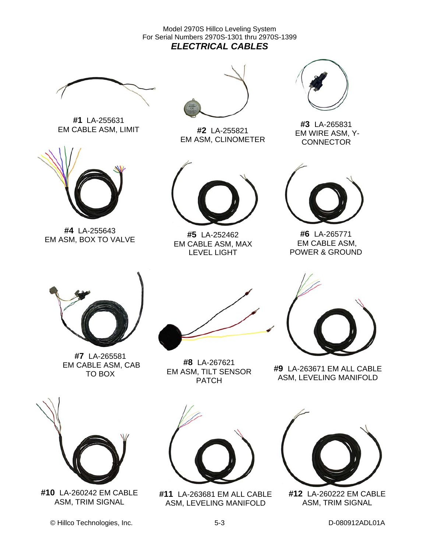Model 2970S Hillco Leveling System For Serial Numbers 2970S-1301 thru 2970S-1399 *ELECTRICAL CABLES* 



**#1** LA-255631 EM CABLE ASM, LIMIT



**#4** LA-255643 EM ASM, BOX TO VALVE



**#2** LA-255821 EM ASM, CLINOMETER



**#5** LA-252462 EM CABLE ASM, MAX LEVEL LIGHT



**#3** LA-265831 EM WIRE ASM, Y-**CONNECTOR** 



**#6** LA-265771 EM CABLE ASM, POWER & GROUND



**#7** LA-265581 EM CABLE ASM, CAB TO BOX



**#8** LA-267621 EM ASM, TILT SENSOR PATCH



**#9** LA-263671 EM ALL CABLE ASM, LEVELING MANIFOLD



**#10** LA-260242 EM CABLE ASM, TRIM SIGNAL





**#11** LA-263681 EM ALL CABLE ASM, LEVELING MANIFOLD



**#12** LA-260222 EM CABLE ASM, TRIM SIGNAL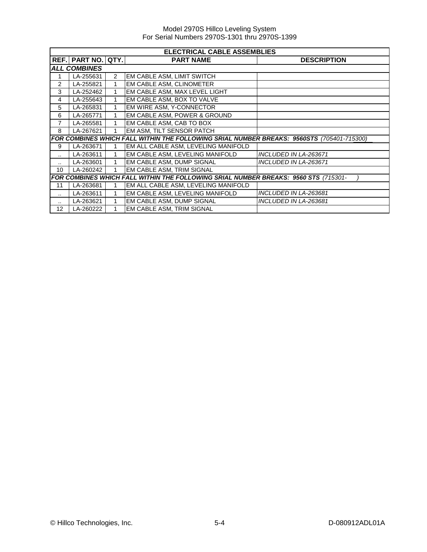|                      | <b>ELECTRICAL CABLE ASSEMBLIES</b> |                |                                                                                           |                              |  |  |  |  |  |  |
|----------------------|------------------------------------|----------------|-------------------------------------------------------------------------------------------|------------------------------|--|--|--|--|--|--|
|                      | REF. PART NO. QTY.                 |                | <b>PART NAME</b>                                                                          | <b>DESCRIPTION</b>           |  |  |  |  |  |  |
|                      | <b>ALL COMBINES</b>                |                |                                                                                           |                              |  |  |  |  |  |  |
|                      | LA-255631                          | $\overline{2}$ | EM CABLE ASM, LIMIT SWITCH                                                                |                              |  |  |  |  |  |  |
| 2                    | LA-255821                          | 1              | EM CABLE ASM, CLINOMETER                                                                  |                              |  |  |  |  |  |  |
| 3                    | LA-252462                          | 1              | EM CABLE ASM, MAX LEVEL LIGHT                                                             |                              |  |  |  |  |  |  |
| 4                    | LA-255643                          | 1              | EM CABLE ASM, BOX TO VALVE                                                                |                              |  |  |  |  |  |  |
| 5                    | LA-265831                          | $\mathbf{1}$   | EM WIRE ASM, Y-CONNECTOR                                                                  |                              |  |  |  |  |  |  |
| 6                    | LA-265771                          |                | EM CABLE ASM, POWER & GROUND                                                              |                              |  |  |  |  |  |  |
| 7                    | LA-265581                          | 1              | EM CABLE ASM, CAB TO BOX                                                                  |                              |  |  |  |  |  |  |
| 8                    | LA-267621                          | $\mathbf 1$    | EM ASM, TILT SENSOR PATCH                                                                 |                              |  |  |  |  |  |  |
|                      |                                    |                | FOR COMBINES WHICH FALL WITHIN THE FOLLOWING SRIAL NUMBER BREAKS: 9560STS (705401-715300) |                              |  |  |  |  |  |  |
| 9                    | LA-263671                          |                | EM ALL CABLE ASM, LEVELING MANIFOLD                                                       |                              |  |  |  |  |  |  |
|                      | LA-263611                          | $\mathbf{1}$   | EM CABLE ASM, LEVELING MANIFOLD                                                           | INCLUDED IN LA-263671        |  |  |  |  |  |  |
| ٠.                   | LA-263601                          | 1              | EM CABLE ASM, DUMP SIGNAL                                                                 | <b>INCLUDED IN LA-263671</b> |  |  |  |  |  |  |
| 10                   | LA-260242                          | $\mathbf{1}$   | EM CABLE ASM, TRIM SIGNAL                                                                 |                              |  |  |  |  |  |  |
|                      |                                    |                | FOR COMBINES WHICH FALL WITHIN THE FOLLOWING SRIAL NUMBER BREAKS: 9560 STS (715301-       |                              |  |  |  |  |  |  |
| 11                   | LA-263681                          |                | EM ALL CABLE ASM, LEVELING MANIFOLD                                                       |                              |  |  |  |  |  |  |
| $\ddot{\phantom{a}}$ | LA-263611                          | 1              | EM CABLE ASM, LEVELING MANIFOLD                                                           | INCLUDED IN LA-263681        |  |  |  |  |  |  |
|                      | LA-263621                          |                | EM CABLE ASM, DUMP SIGNAL                                                                 | INCLUDED IN LA-263681        |  |  |  |  |  |  |
| 12 <sup>°</sup>      | LA-260222                          |                | EM CABLE ASM, TRIM SIGNAL                                                                 |                              |  |  |  |  |  |  |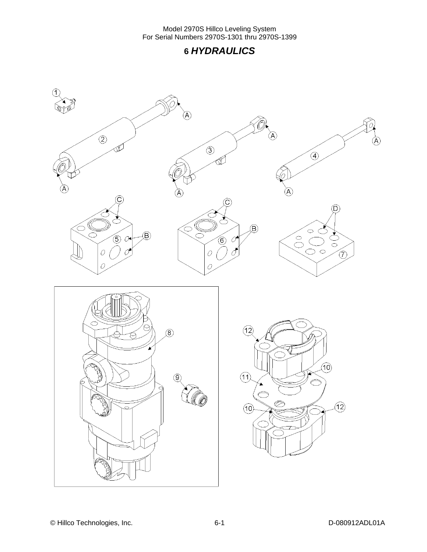### **6** *HYDRAULICS*

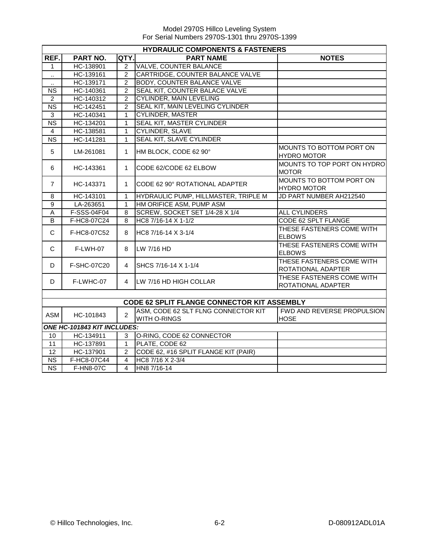|                        | <b>HYDRAULIC COMPONENTS &amp; FASTENERS</b>        |                |                                      |                                                 |  |  |  |
|------------------------|----------------------------------------------------|----------------|--------------------------------------|-------------------------------------------------|--|--|--|
| REF.                   | <b>PART NO.</b>                                    | QTY.           | <b>PART NAME</b>                     | <b>NOTES</b>                                    |  |  |  |
| 1                      | HC-138901                                          | 2              | <b>VALVE, COUNTER BALANCE</b>        |                                                 |  |  |  |
| Ω.                     | HC-139161                                          | 2              | CARTRIDGE, COUNTER BALANCE VALVE     |                                                 |  |  |  |
| $\ddot{\phantom{a}}$   | HC-139171                                          | $\overline{2}$ | <b>BODY, COUNTER BALANCE VALVE</b>   |                                                 |  |  |  |
| $\overline{\text{NS}}$ | HC-140361                                          | $\overline{2}$ | SEAL KIT, COUNTER BALACE VALVE       |                                                 |  |  |  |
| $\overline{2}$         | HC-140312                                          | $\overline{2}$ | <b>CYLINDER, MAIN LEVELING</b>       |                                                 |  |  |  |
| <b>NS</b>              | HC-142451                                          | 2              | SEAL KIT, MAIN LEVELING CYLINDER     |                                                 |  |  |  |
| 3                      | HC-140341                                          | $\mathbf{1}$   | <b>CYLINDER, MASTER</b>              |                                                 |  |  |  |
| $\overline{\text{NS}}$ | HC-134201                                          | $\mathbf{1}$   | SEAL KIT, MASTER CYLINDER            |                                                 |  |  |  |
| $\overline{4}$         | HC-138581                                          | $\mathbf{1}$   | <b>CYLINDER, SLAVE</b>               |                                                 |  |  |  |
| $\overline{\text{NS}}$ | HC-141281                                          | $\mathbf{1}$   | SEAL KIT, SLAVE CYLINDER             |                                                 |  |  |  |
| $\sqrt{5}$             | LM-261081                                          | $\mathbf{1}$   | HM BLOCK, CODE 62 90°                | MOUNTS TO BOTTOM PORT ON<br><b>HYDRO MOTOR</b>  |  |  |  |
| 6                      | HC-143361                                          | $\mathbf{1}$   | CODE 62/CODE 62 ELBOW                | MOUNTS TO TOP PORT ON HYDRO<br><b>MOTOR</b>     |  |  |  |
| $\overline{7}$         | HC-143371                                          | $\mathbf{1}$   | CODE 62 90° ROTATIONAL ADAPTER       | MOUNTS TO BOTTOM PORT ON<br><b>HYDRO MOTOR</b>  |  |  |  |
| $\, 8$                 | HC-143101                                          | $\mathbf{1}$   | HYDRAULIC PUMP, HILLMASTER, TRIPLE M | JD PART NUMBER AH212540                         |  |  |  |
| 9                      | LA-263651                                          | $\mathbf{1}$   | HM ORIFICE ASM, PUMP ASM             |                                                 |  |  |  |
| A                      | F-SSS-04F04                                        | 8              | SCREW, SOCKET SET 1/4-28 X 1/4       | ALL CYLINDERS                                   |  |  |  |
| B                      | F-HC8-07C24                                        | 8              | HC8 7/16-14 X 1-1/2                  | CODE 62 SPLT FLANGE                             |  |  |  |
| C                      | F-HC8-07C52                                        | 8              | HC8 7/16-14 X 3-1/4                  | THESE FASTENERS COME WITH<br><b>ELBOWS</b>      |  |  |  |
| $\mathsf{C}$           | F-LWH-07                                           | 8              | LW 7/16 HD                           | THESE FASTENERS COME WITH<br><b>ELBOWS</b>      |  |  |  |
| D                      | F-SHC-07C20                                        | 4              | SHCS 7/16-14 X 1-1/4                 | THESE FASTENERS COME WITH<br>ROTATIONAL ADAPTER |  |  |  |
| D                      | F-LWHC-07                                          | $\overline{4}$ | LW 7/16 HD HIGH COLLAR               | THESE FASTENERS COME WITH<br>ROTATIONAL ADAPTER |  |  |  |
|                        | <b>CODE 62 SPLIT FLANGE CONNECTOR KIT ASSEMBLY</b> |                |                                      |                                                 |  |  |  |
|                        |                                                    |                | ASM, CODE 62 SLT FLNG CONNECTOR KIT  | FWD AND REVERSE PROPULSION                      |  |  |  |
| ASM                    | HC-101843                                          | $\overline{2}$ | <b>WITH O-RINGS</b>                  | <b>HOSE</b>                                     |  |  |  |
|                        | ONE HC-101843 KIT INCLUDES:                        |                |                                      |                                                 |  |  |  |
| 10                     | HC-134911                                          | 3              | O-RING, CODE 62 CONNECTOR            |                                                 |  |  |  |
| 11                     | HC-137891                                          | $\mathbf{1}$   | PLATE, CODE 62                       |                                                 |  |  |  |
| 12                     | HC-137901                                          | 2              | CODE 62, #16 SPLIT FLANGE KIT (PAIR) |                                                 |  |  |  |
| $\overline{\text{NS}}$ | F-HC8-07C44                                        | $\overline{4}$ | HC8 7/16 X 2-3/4                     |                                                 |  |  |  |
| <b>NS</b>              | F-HN8-07C                                          | $\overline{4}$ | HN8 7/16-14                          |                                                 |  |  |  |
|                        |                                                    |                |                                      |                                                 |  |  |  |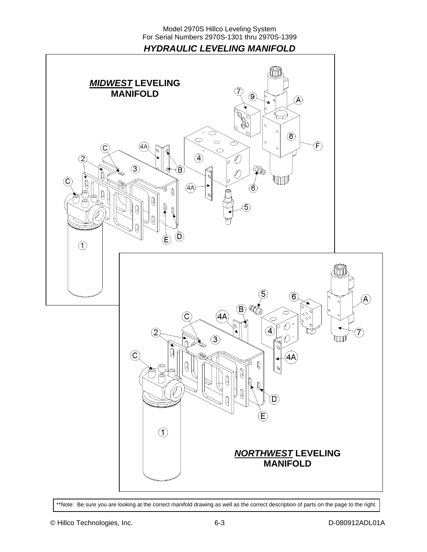*HYDRAULIC LEVELING MANIFOLD* 



\*\*Note: Be sure you are looking at the correct manifold drawing as well as the correct description of parts on the page to the right.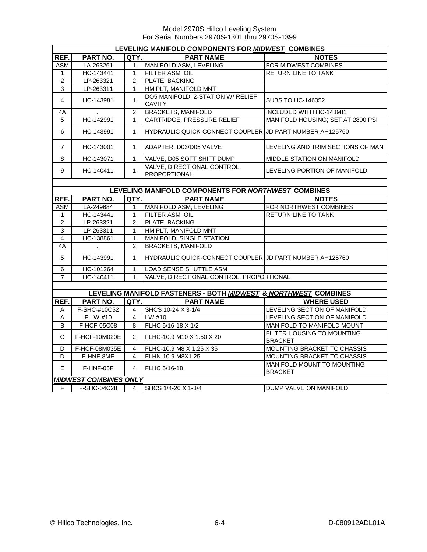|                | LEVELING MANIFOLD COMPONENTS FOR MIDWEST COMBINES |                |                                                                 |                                              |  |  |
|----------------|---------------------------------------------------|----------------|-----------------------------------------------------------------|----------------------------------------------|--|--|
| REF.           | PART NO.                                          | QTY.           | <b>PART NAME</b>                                                | <b>NOTES</b>                                 |  |  |
| ASM            | LA-263261                                         | 1              | MANIFOLD ASM, LEVELING                                          | FOR MIDWEST COMBINES                         |  |  |
| $\mathbf 1$    | HC-143441                                         | $\mathbf{1}$   | FILTER ASM, OIL                                                 | <b>RETURN LINE TO TANK</b>                   |  |  |
| 2              | LP-263321                                         | $\overline{2}$ | PLATE, BACKING                                                  |                                              |  |  |
| $\overline{3}$ | LP-263311                                         | $\mathbf{1}$   | HM PLT, MANIFOLD MNT                                            |                                              |  |  |
| 4              | HC-143981                                         | $\mathbf{1}$   | DO5 MANIFOLD, 2-STATION W/ RELIEF<br><b>CAVITY</b>              | <b>SUBS TO HC-146352</b>                     |  |  |
| 4A             | $\ddot{\phantom{a}}$                              | $\overline{2}$ | <b>BRACKETS, MANIFOLD</b>                                       | INCLUDED WITH HC-143981                      |  |  |
| 5              | HC-142991                                         | $\mathbf{1}$   | <b>CARTRIDGE, PRESSURE RELIEF</b>                               | MANIFOLD HOUSING: SET AT 2800 PSI            |  |  |
| 6              | HC-143991                                         | $\mathbf{1}$   | HYDRAULIC QUICK-CONNECT COUPLER IJD PART NUMBER AH125760        |                                              |  |  |
| $\overline{7}$ | HC-143001                                         | $\mathbf{1}$   | ADAPTER, D03/D05 VALVE                                          | LEVELING AND TRIM SECTIONS OF MAN            |  |  |
| 8              | HC-143071                                         | $\mathbf{1}$   | VALVE, D05 SOFT SHIFT DUMP                                      | MIDDLE STATION ON MANIFOLD                   |  |  |
| 9              | HC-140411                                         | $\mathbf{1}$   | VALVE, DIRECTIONAL CONTROL,<br><b>PROPORTIONAL</b>              | LEVELING PORTION OF MANIFOLD                 |  |  |
|                |                                                   |                |                                                                 |                                              |  |  |
|                |                                                   |                | LEVELING MANIFOLD COMPONENTS FOR NORTHWEST COMBINES             |                                              |  |  |
| REF.           | PART NO.                                          | QTY.I          | <b>PART NAME</b>                                                | <b>NOTES</b>                                 |  |  |
| <b>ASM</b>     | LA-249684                                         | $\mathbf{1}$   | MANIFOLD ASM, LEVELING                                          | FOR NORTHWEST COMBINES                       |  |  |
| $\mathbf{1}$   | HC-143441                                         | $\mathbf{1}$   | FILTER ASM, OIL                                                 | <b>RETURN LINE TO TANK</b>                   |  |  |
| $\overline{2}$ | LP-263321                                         | $2^{\circ}$    | PLATE, BACKING                                                  |                                              |  |  |
| $\overline{3}$ | LP-263311                                         | $\mathbf{1}$   | HM PLT, MANIFOLD MNT                                            |                                              |  |  |
| $\overline{4}$ | HC-138861                                         | $\mathbf{1}$   | MANIFOLD, SINGLE STATION                                        |                                              |  |  |
| 4A             | $\sim 100$                                        | $\overline{2}$ | <b>BRACKETS, MANIFOLD</b>                                       |                                              |  |  |
| 5              | HC-143991                                         | $\mathbf 1$    | HYDRAULIC QUICK-CONNECT COUPLER JD PART NUMBER AH125760         |                                              |  |  |
| 6              | HC-101264                                         | $\mathbf{1}$   | LOAD SENSE SHUTTLE ASM                                          |                                              |  |  |
| $\overline{7}$ | HC-140411                                         | $\mathbf{1}$   | VALVE, DIRECTIONAL CONTROL, PROPORTIONAL                        |                                              |  |  |
|                |                                                   |                |                                                                 |                                              |  |  |
|                |                                                   |                | LEVELING MANIFOLD FASTENERS - BOTH MIDWEST & NORTHWEST COMBINES |                                              |  |  |
| REF.           | <b>PART NO.</b>                                   | QTY.I          | <b>PART NAME</b>                                                | <b>WHERE USED</b>                            |  |  |
| A              | F-SHC-#10C52                                      | $\overline{4}$ | SHCS 10-24 X 3-1/4                                              | LEVELING SECTION OF MANIFOLD                 |  |  |
| A              | F-LW-#10                                          | 4              | LW #10                                                          | LEVELING SECTION OF MANIFOLD                 |  |  |
| B              | F-HCF-05C08                                       | 8              | FLHC 5/16-18 X 1/2                                              | MANIFOLD TO MANIFOLD MOUNT                   |  |  |
| C              | F-HCF-10M020E                                     | $\overline{2}$ | FLHC-10.9 M10 X 1.50 X 20                                       | FILTER HOUSING TO MOUNTING<br><b>BRACKET</b> |  |  |
| D              | F-HCF-08M035E                                     | $\overline{4}$ | FLHC-10.9 M8 X 1.25 X 35                                        | MOUNTING BRACKET TO CHASSIS                  |  |  |
| D              | F-HNF-8ME                                         | 4              | FLHN-10.9 M8X1.25                                               | MOUNTING BRACKET TO CHASSIS                  |  |  |
| E              | F-HNF-05F                                         | $\overline{4}$ | <b>FLHC 5/16-18</b>                                             | MANIFOLD MOUNT TO MOUNTING<br><b>BRACKET</b> |  |  |
|                | <b>MIDWEST COMBINES ONLY</b>                      |                |                                                                 |                                              |  |  |
| F.             | F-SHC-04C28                                       | 4              | SHCS 1/4-20 X 1-3/4                                             | DUMP VALVE ON MANIFOLD                       |  |  |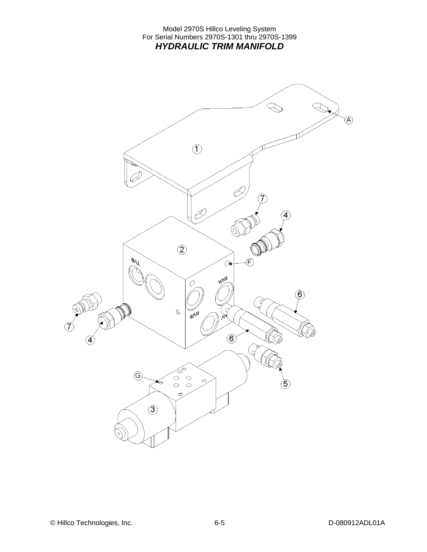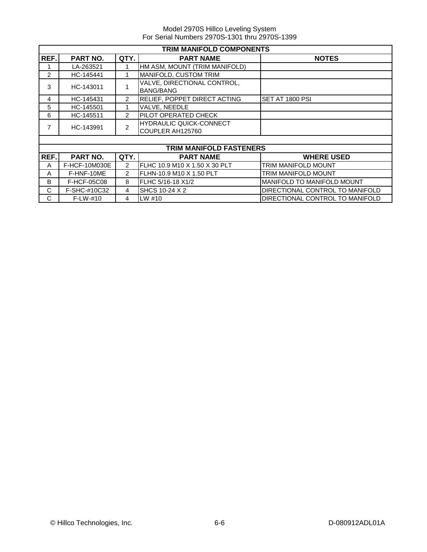|      | <b>TRIM MANIFOLD COMPONENTS</b> |                |                                                    |                                   |  |  |
|------|---------------------------------|----------------|----------------------------------------------------|-----------------------------------|--|--|
| REF. | PART NO.                        | QTY.           | <b>PART NAME</b>                                   | <b>NOTES</b>                      |  |  |
|      | LA-263521                       |                | HM ASM, MOUNT (TRIM MANIFOLD)                      |                                   |  |  |
| 2    | HC-145441                       |                | MANIFOLD, CUSTOM TRIM                              |                                   |  |  |
| 3    | HC-143011                       |                | VALVE, DIRECTIONAL CONTROL,<br><b>BANG/BANG</b>    |                                   |  |  |
| 4    | HC-145431                       | $\overline{2}$ | RELIEF, POPPET DIRECT ACTING                       | SET AT 1800 PSI                   |  |  |
| 5    | HC-145501                       |                | VALVE, NEEDLE                                      |                                   |  |  |
| 6    | HC-145511                       | $\overline{2}$ | PILOT OPERATED CHECK                               |                                   |  |  |
| 7    | HC-143991                       | 2              | <b>HYDRAULIC QUICK-CONNECT</b><br>COUPLER AH125760 |                                   |  |  |
|      |                                 |                |                                                    |                                   |  |  |
|      |                                 |                | <b>TRIM MANIFOLD FASTENERS</b>                     |                                   |  |  |
| REF. | PART NO.                        | QTY.           | <b>PART NAME</b>                                   | <b>WHERE USED</b>                 |  |  |
| A    | F-HCF-10M030E                   | $\overline{2}$ | FLHC 10.9 M10 X 1.50 X 30 PLT                      | <b>TRIM MANIFOLD MOUNT</b>        |  |  |
| A    | F-HNF-10ME                      | $\overline{2}$ | FLHN-10.9 M10 X 1.50 PLT                           | <b>TRIM MANIFOLD MOUNT</b>        |  |  |
| B    | F-HCF-05C08                     | 8              | FLHC 5/16-18 X1/2                                  | <b>MANIFOLD TO MANIFOLD MOUNT</b> |  |  |
| C    | F-SHC-#10C32                    | $\overline{4}$ | SHCS 10-24 X 2                                     | DIRECTIONAL CONTROL TO MANIFOLD   |  |  |
| C    | $F-LW-#10$                      | 4              | LW #10                                             | DIRECTIONAL CONTROL TO MANIFOLD   |  |  |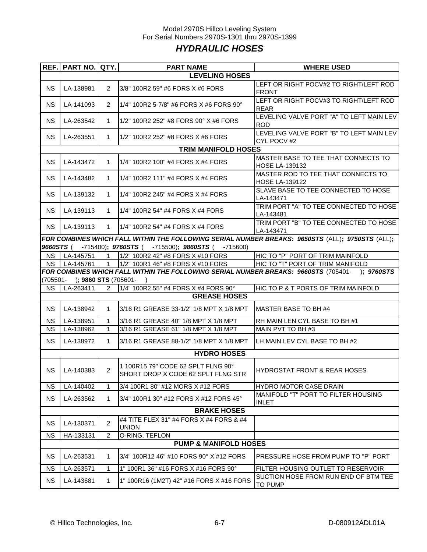### Model 2970S Hillco Leveling System For Serial Numbers 2970S-1301 thru 2970S-1399 *HYDRAULIC HOSES*

|                                  | REF.   PART NO.   QTY.                                                                                                            |                | <b>PART NAME</b>                                                         | <b>WHERE USED</b>                                                                                |  |  |  |  |  |  |  |
|----------------------------------|-----------------------------------------------------------------------------------------------------------------------------------|----------------|--------------------------------------------------------------------------|--------------------------------------------------------------------------------------------------|--|--|--|--|--|--|--|
| <b>LEVELING HOSES</b>            |                                                                                                                                   |                |                                                                          |                                                                                                  |  |  |  |  |  |  |  |
| <b>NS</b>                        | LA-138981                                                                                                                         | 2              | 3/8" 100R2 59" #6 FORS X #6 FORS                                         | LEFT OR RIGHT POCV#2 TO RIGHT/LEFT ROD<br><b>FRONT</b>                                           |  |  |  |  |  |  |  |
| <b>NS</b>                        | LA-141093                                                                                                                         | 2              | 1/4" 100R2 5-7/8" #6 FORS X #6 FORS 90°                                  | LEFT OR RIGHT POCV#3 TO RIGHT/LEFT ROD<br><b>REAR</b>                                            |  |  |  |  |  |  |  |
| <b>NS</b>                        | LA-263542                                                                                                                         | $\mathbf{1}$   | 1/2" 100R2 252" #8 FORS 90° X #6 FORS                                    | LEVELING VALVE PORT "A" TO LEFT MAIN LEV<br>ROD                                                  |  |  |  |  |  |  |  |
| <b>NS</b>                        | LA-263551                                                                                                                         | $\mathbf{1}$   | 1/2" 100R2 252" #8 FORS X #6 FORS                                        | LEVELING VALVE PORT "B" TO LEFT MAIN LEV<br>CYL POCV #2                                          |  |  |  |  |  |  |  |
|                                  | <b>TRIM MANIFOLD HOSES</b>                                                                                                        |                |                                                                          |                                                                                                  |  |  |  |  |  |  |  |
| <b>NS</b>                        | LA-143472                                                                                                                         | $\mathbf 1$    | 1/4" 100R2 100" #4 FORS X #4 FORS                                        | MASTER BASE TO TEE THAT CONNECTS TO<br><b>HOSE LA-139132</b>                                     |  |  |  |  |  |  |  |
| <b>NS</b>                        | LA-143482                                                                                                                         | $\mathbf 1$    | 1/4" 100R2 111" #4 FORS X #4 FORS                                        | MASTER ROD TO TEE THAT CONNECTS TO<br><b>HOSE LA-139122</b>                                      |  |  |  |  |  |  |  |
| <b>NS</b>                        | LA-139132                                                                                                                         | $\mathbf 1$    | 1/4" 100R2 245" #4 FORS X #4 FORS                                        | SLAVE BASE TO TEE CONNECTED TO HOSE<br>LA-143471                                                 |  |  |  |  |  |  |  |
| <b>NS</b>                        | LA-139113                                                                                                                         | $\mathbf 1$    | 1/4" 100R2 54" #4 FORS X #4 FORS                                         | TRIM PORT "A" TO TEE CONNECTED TO HOSE<br>LA-143481                                              |  |  |  |  |  |  |  |
| <b>NS</b>                        | LA-139113                                                                                                                         | $\mathbf{1}$   | 1/4" 100R2 54" #4 FORS X #4 FORS                                         | TRIM PORT "B" TO TEE CONNECTED TO HOSE<br>LA-143471                                              |  |  |  |  |  |  |  |
|                                  |                                                                                                                                   |                |                                                                          | FOR COMBINES WHICH FALL WITHIN THE FOLLOWING SERIAL NUMBER BREAKS: 9650STS (ALL); 9750STS (ALL); |  |  |  |  |  |  |  |
| 9660STS (                        |                                                                                                                                   |                | $-715400$ ; 9760STS ( $-715500$ ); 9860STS ( $-715600$ )                 |                                                                                                  |  |  |  |  |  |  |  |
| <b>NS</b>                        | LA-145751                                                                                                                         | $\mathbf{1}$   | 1/2" 100R2 42" #8 FORS X #10 FORS                                        | HIC TO "P" PORT OF TRIM MAINFOLD                                                                 |  |  |  |  |  |  |  |
| <b>NS</b>                        | LA-145761                                                                                                                         | $\overline{1}$ | 1/2" 100R1 46" #8 FORS X #10 FORS                                        | HIC TO "T" PORT OF TRIM MANIFOLD                                                                 |  |  |  |  |  |  |  |
|                                  |                                                                                                                                   |                |                                                                          | FOR COMBINES WHICH FALL WITHIN THE FOLLOWING SERIAL NUMBER BREAKS: 9660STS (705401- ); 9760STS   |  |  |  |  |  |  |  |
|                                  | (705501- ); 9860 STS (705601-                                                                                                     |                |                                                                          |                                                                                                  |  |  |  |  |  |  |  |
|                                  | 1/4" 100R2 55" #4 FORS X #4 FORS 90°<br>HIC TO P & T PORTS OF TRIM MAINFOLD<br><b>NS</b><br>LA-263411<br>2<br><b>GREASE HOSES</b> |                |                                                                          |                                                                                                  |  |  |  |  |  |  |  |
|                                  |                                                                                                                                   |                |                                                                          |                                                                                                  |  |  |  |  |  |  |  |
| <b>NS</b>                        | LA-138942                                                                                                                         | $\mathbf{1}$   | 3/16 R1 GREASE 33-1/2" 1/8 MPT X 1/8 MPT                                 | MASTER BASE TO BH #4                                                                             |  |  |  |  |  |  |  |
| <b>NS</b>                        | LA-138951                                                                                                                         | 1              | 3/16 R1 GREASE 40" 1/8 MPT X 1/8 MPT                                     | RH MAIN LEN CYL BASE TO BH #1                                                                    |  |  |  |  |  |  |  |
| NS.                              | LA-138962                                                                                                                         | $\mathbf{1}$   | 3/16 R1 GREASE 61" 1/8 MPT X 1/8 MPT                                     | MAIN PVT TO BH #3                                                                                |  |  |  |  |  |  |  |
| <b>NS</b>                        | LA-138972                                                                                                                         | 1              | 3/16 R1 GREASE 88-1/2" 1/8 MPT X 1/8 MPT                                 | LH MAIN LEV CYL BASE TO BH #2                                                                    |  |  |  |  |  |  |  |
|                                  |                                                                                                                                   |                | <b>HYDRO HOSES</b>                                                       |                                                                                                  |  |  |  |  |  |  |  |
| <b>NS</b>                        | LA-140383                                                                                                                         | 2              | 1 100R15 79" CODE 62 SPLT FLNG 90°<br>SHORT DROP X CODE 62 SPLT FLNG STR | HYDROSTAT FRONT & REAR HOSES                                                                     |  |  |  |  |  |  |  |
| <b>NS</b>                        | LA-140402                                                                                                                         | $\mathbf{1}$   | 3/4 100R1 80" #12 MORS X #12 FORS                                        | <b>HYDRO MOTOR CASE DRAIN</b>                                                                    |  |  |  |  |  |  |  |
| <b>NS</b>                        | LA-263562                                                                                                                         | $\mathbf{1}$   | 3/4" 100R1 30" #12 FORS X #12 FORS 45°                                   | MANIFOLD "T" PORT TO FILTER HOUSING<br><b>INLET</b>                                              |  |  |  |  |  |  |  |
|                                  |                                                                                                                                   |                | <b>BRAKE HOSES</b>                                                       |                                                                                                  |  |  |  |  |  |  |  |
| <b>NS</b>                        | LA-130371                                                                                                                         | $\overline{c}$ | #4 TITE FLEX 31" #4 FORS X #4 FORS & #4<br><b>UNION</b>                  |                                                                                                  |  |  |  |  |  |  |  |
| <b>NS</b>                        | HA-133131                                                                                                                         | $\overline{2}$ | O-RING, TEFLON                                                           |                                                                                                  |  |  |  |  |  |  |  |
| <b>PUMP &amp; MANIFOLD HOSES</b> |                                                                                                                                   |                |                                                                          |                                                                                                  |  |  |  |  |  |  |  |
| <b>NS</b>                        | LA-263531                                                                                                                         | $\mathbf{1}$   | 3/4" 100R12 46" #10 FORS 90° X #12 FORS                                  | PRESSURE HOSE FROM PUMP TO "P" PORT                                                              |  |  |  |  |  |  |  |
| <b>NS</b>                        | LA-263571                                                                                                                         | 1              | 1" 100R1 36" #16 FORS X #16 FORS 90°                                     | FILTER HOUSING OUTLET TO RESERVOIR                                                               |  |  |  |  |  |  |  |
| <b>NS</b>                        | LA-143681                                                                                                                         | 1              | 1" 100R16 (1M2T) 42" #16 FORS X #16 FORS                                 | SUCTION HOSE FROM RUN END OF BTM TEE<br><b>TO PUMP</b>                                           |  |  |  |  |  |  |  |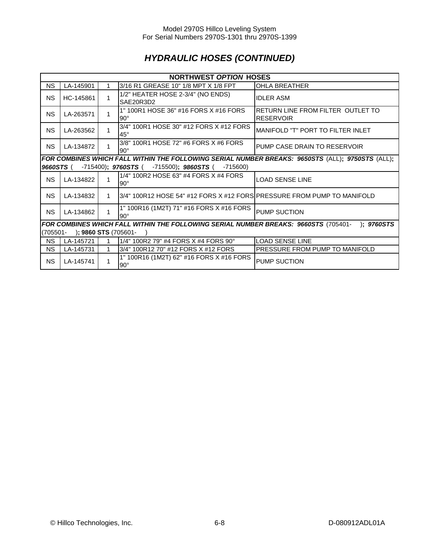## *HYDRAULIC HOSES (CONTINUED)*

|                                     | <b>NORTHWEST OPTION HOSES</b>                                                                    |                |                                                                                     |                                                       |  |  |  |  |  |  |
|-------------------------------------|--------------------------------------------------------------------------------------------------|----------------|-------------------------------------------------------------------------------------|-------------------------------------------------------|--|--|--|--|--|--|
| <b>NS</b>                           | LA-145901                                                                                        |                | 3/16 R1 GREASE 10" 1/8 MPT X 1/8 FPT                                                | <b>OHLA BREATHER</b>                                  |  |  |  |  |  |  |
| <b>NS</b>                           | HC-145861                                                                                        | 1              | 1/2" HEATER HOSE 2-3/4" (NO ENDS)<br>SAE20R3D2                                      | <b>IDLER ASM</b>                                      |  |  |  |  |  |  |
| <b>NS</b>                           | LA-263571                                                                                        | 1              | 1" 100R1 HOSE 36" #16 FORS X #16 FORS<br>$90^\circ$                                 | RETURN LINE FROM FILTER OUTLET TO<br><b>RESERVOIR</b> |  |  |  |  |  |  |
| <b>NS</b>                           | LA-263562                                                                                        | 1              | 3/4" 100R1 HOSE 30" #12 FORS X #12 FORS<br>$45^{\circ}$                             | <b>MANIFOLD "T" PORT TO FILTER INLET</b>              |  |  |  |  |  |  |
| N <sub>S</sub>                      | LA-134872                                                                                        | 1              | 3/8" 100R1 HOSE 72" #6 FORS X #6 FORS<br>$90^\circ$                                 | PUMP CASE DRAIN TO RESERVOIR                          |  |  |  |  |  |  |
|                                     | FOR COMBINES WHICH FALL WITHIN THE FOLLOWING SERIAL NUMBER BREAKS: 9650STS (ALL); 9750STS (ALL); |                |                                                                                     |                                                       |  |  |  |  |  |  |
| 9660STS (                           |                                                                                                  |                | $-715400$ ; 9760STS (<br>-715500); 9860STS (<br>$-715600$                           |                                                       |  |  |  |  |  |  |
| <b>NS</b>                           | LA-134822                                                                                        |                | 1/4" 100R2 HOSE 63" #4 FORS X #4 FORS<br>$90^\circ$                                 | LOAD SENSE LINE                                       |  |  |  |  |  |  |
| <b>NS</b>                           | LA-134832                                                                                        | $\mathbf{1}$   | 3/4" 100R12 HOSE 54" #12 FORS X #12 FORS PRESSURE FROM PUMP TO MANIFOLD             |                                                       |  |  |  |  |  |  |
| <b>NS</b>                           | LA-134862                                                                                        | $\overline{1}$ | 1" 100R16 (1M2T) 71" #16 FORS X #16 FORS<br>$90^\circ$                              | PUMP SUCTION                                          |  |  |  |  |  |  |
|                                     |                                                                                                  |                | FOR COMBINES WHICH FALL WITHIN THE FOLLOWING SERIAL NUMBER BREAKS: 9660STS (705401- | : 9760STS                                             |  |  |  |  |  |  |
| ); 9860 STS (705601-<br>$(705501 -$ |                                                                                                  |                |                                                                                     |                                                       |  |  |  |  |  |  |
| <b>NS</b>                           | LA-145721                                                                                        | 1              | 1/4" 100R2 79" #4 FORS X #4 FORS 90°                                                | <b>LOAD SENSE LINE</b>                                |  |  |  |  |  |  |
| NS.                                 | LA-145731                                                                                        |                | 3/4" 100R12 70" #12 FORS X #12 FORS                                                 | PRESSURE FROM PUMP TO MANIFOLD                        |  |  |  |  |  |  |
| <b>NS</b>                           | LA-145741                                                                                        | 1              | 1" 100R16 (1M2T) 62" #16 FORS X #16 FORS<br>$90^{\circ}$                            | <b>PUMP SUCTION</b>                                   |  |  |  |  |  |  |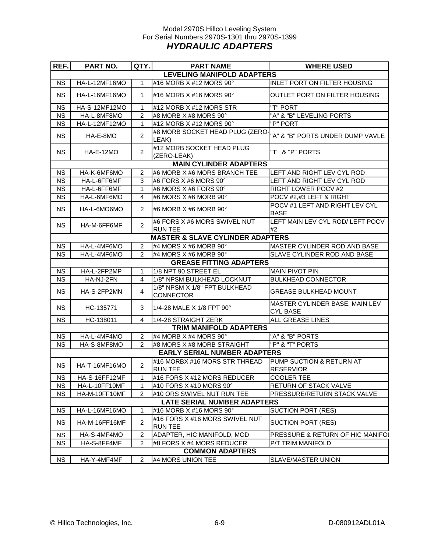#### Model 2970S Hillco Leveling System For Serial Numbers 2970S-1301 thru 2970S-1399 *HYDRAULIC ADAPTERS*

| REF.                               | <b>PART NO.</b>      | QTY.           | <b>PART NAME</b>                                 | <b>WHERE USED</b>                                 |  |  |  |  |
|------------------------------------|----------------------|----------------|--------------------------------------------------|---------------------------------------------------|--|--|--|--|
| <b>LEVELING MANIFOLD ADAPTERS</b>  |                      |                |                                                  |                                                   |  |  |  |  |
| <b>NS</b>                          | HA-L-12MF16MO        | 1              | #16 MORB X #12 MORS 90°                          | <b>INLET PORT ON FILTER HOUSING</b>               |  |  |  |  |
| <b>NS</b>                          | <b>HA-L-16MF16MO</b> | 1              | #16 MORB X #16 MORS 90°                          | OUTLET PORT ON FILTER HOUSING                     |  |  |  |  |
| <b>NS</b>                          | HA-S-12MF12MO        | 1              | #12 MORB X #12 MORS STR                          | "T" PORT                                          |  |  |  |  |
| <b>NS</b>                          | HA-L-8MF8MO          | 2              | #8 MORB X #8 MORS 90°                            | "A" & "B" LEVELING PORTS                          |  |  |  |  |
| <b>NS</b>                          | HA-L-12MF12MO        | 1              | #12 MORB X #12 MORS 90°                          | "P" PORT                                          |  |  |  |  |
| <b>NS</b>                          | HA-E-8MO             | $\overline{2}$ | #8 MORB SOCKET HEAD PLUG (ZERO-<br>LEAK)         | "A" & "B" PORTS UNDER DUMP VAVLE                  |  |  |  |  |
| <b>NS</b>                          | <b>HA-E-12MO</b>     | $\overline{2}$ | #12 MORB SOCKET HEAD PLUG<br>(ZERO-LEAK)         | "T" & "P" PORTS                                   |  |  |  |  |
|                                    |                      |                | <b>MAIN CYLINDER ADAPTERS</b>                    |                                                   |  |  |  |  |
| <b>NS</b>                          | HA-K-6MF6MO          | 2              | #6 MORB X #6 MORS BRANCH TEE                     | LEFT AND RIGHT LEV CYL ROD                        |  |  |  |  |
| <b>NS</b>                          | HA-L-6FF6MF          | 3              | #6 FORS X #6 MORS 90°                            | LEFT AND RIGHT LEV CYL ROD                        |  |  |  |  |
| <b>NS</b>                          | HA-L-6FF6MF          | 1              | #6 MORS X #6 FORS 90°                            | RIGHT LOWER POCV #2                               |  |  |  |  |
| <b>NS</b>                          | HA-L-6MF6MO          | 4              | #6 MORS X #6 MORB 90°                            | POCV #2,#3 LEFT & RIGHT                           |  |  |  |  |
| <b>NS</b>                          | HA-L-6MO6MO          | $\overline{2}$ | #6 MORB X #6 MORB 90°                            | POCV #1 LEFT AND RIGHT LEV CYL<br><b>BASE</b>     |  |  |  |  |
| <b>NS</b>                          | HA-M-6FF6MF          | $\overline{2}$ | #6 FORS X #6 MORS SWIVEL NUT<br><b>RUN TEE</b>   | LEFT MAIN LEV CYL ROD/ LEFT POCV<br>#2            |  |  |  |  |
|                                    |                      |                | <b>MASTER &amp; SLAVE CYLINDER ADAPTERS</b>      |                                                   |  |  |  |  |
| <b>NS</b>                          | HA-L-4MF6MO          | $\overline{c}$ | #4 MORS X #6 MORB 90 $^{\circ}$                  | MASTER CYLINDER ROD AND BASE                      |  |  |  |  |
| <b>NS</b>                          | HA-L-4MF6MO          | 2              | #4 MORS X #6 MORB 90°                            | SLAVE CYLINDER ROD AND BASE                       |  |  |  |  |
|                                    |                      |                | <b>GREASE FITTING ADAPTERS</b>                   |                                                   |  |  |  |  |
| <b>NS</b>                          | HA-L-2FP2MP          | 1              | 1/8 NPT 90 STREET EL                             | <b>MAIN PIVOT PIN</b>                             |  |  |  |  |
| <b>NS</b>                          | HA-NJ-2FN            | 4              | 1/8" NPSM BULKHEAD LOCKNUT                       | <b>BULKHEAD CONNECTOR</b>                         |  |  |  |  |
|                                    |                      |                | 1/8" NPSM X 1/8" FPT BULKHEAD                    |                                                   |  |  |  |  |
| <b>NS</b>                          | HA-S-2FP2MN          | 4              | <b>CONNECTOR</b>                                 | <b>GREASE BULKHEAD MOUNT</b>                      |  |  |  |  |
| <b>NS</b>                          | HC-135771            | 3              | 1/4-28 MALE X 1/8 FPT 90°                        | MASTER CYLINDER BASE, MAIN LEV<br><b>CYL BASE</b> |  |  |  |  |
| <b>NS</b>                          | HC-138011            | 4              | 1/4-28 STRAIGHT ZERK                             | <b>ALL GREASE LINES</b>                           |  |  |  |  |
|                                    |                      |                | TRIM MANIFOLD ADAPTERS                           |                                                   |  |  |  |  |
| NS                                 | HA-L-4MF4MO          | $\overline{2}$ | #4 MORB X #4 MORS 90°                            | "A" & "B" PORTS                                   |  |  |  |  |
| <b>NS</b>                          | HA-S-8MF8MO          | 2              | #8 MORS X #8 MORB STRAIGHT                       | "P" & "T" PORTS                                   |  |  |  |  |
|                                    |                      |                | <b>EARLY SERIAL NUMBER ADAPTERS</b>              |                                                   |  |  |  |  |
| <b>NS</b>                          | HA-T-16MF16MO        | $\overline{2}$ | #16 MORBX #16 MORS STR THREAD<br><b>RUN TEE</b>  | PUMP SUCTION & RETURN AT<br><b>RESERVIOR</b>      |  |  |  |  |
| <b>NS</b>                          | HA-S-16FF12MF        | 1              | #16 FORS X #12 MORS REDUCER                      | <b>COOLER TEE</b>                                 |  |  |  |  |
| <b>NS</b>                          | HA-L-10FF10MF        | 1              | #10 FORS X #10 MORS 90°                          | RETURN OF STACK VALVE                             |  |  |  |  |
| <b>NS</b>                          | HA-M-10FF10MF        | $\overline{2}$ | #10 ORS SWIVEL NUT RUN TEE                       | PRESSURE/RETURN STACK VALVE                       |  |  |  |  |
| <b>LATE SERIAL NUMBER ADAPTERS</b> |                      |                |                                                  |                                                   |  |  |  |  |
| NS.                                | HA-L-16MF16MO        | 1              | #16 MORB X #16 MORS 90°                          | <b>SUCTION PORT (RES)</b>                         |  |  |  |  |
| <b>NS</b>                          | HA-M-16FF16MF        | 2              | #16 FORS X #16 MORS SWIVEL NUT<br><b>RUN TEE</b> | <b>SUCTION PORT (RES)</b>                         |  |  |  |  |
| <b>NS</b>                          | HA-S-4MF4MO          | $\overline{c}$ | ADAPTER, HIC MANIFOLD, MOD                       | PRESSURE & RETURN OF HIC MANIFOI                  |  |  |  |  |
| <b>NS</b>                          | HA-S-8FF4MF          | $\overline{2}$ | #8 FORS X #4 MORS REDUCER                        | P/T TRIM MANIFOLD                                 |  |  |  |  |
|                                    |                      |                | <b>COMMON ADAPTERS</b>                           |                                                   |  |  |  |  |
| <b>NS</b>                          | HA-Y-4MF4MF          | $\overline{2}$ | #4 MORS UNION TEE                                | SLAVE/MASTER UNION                                |  |  |  |  |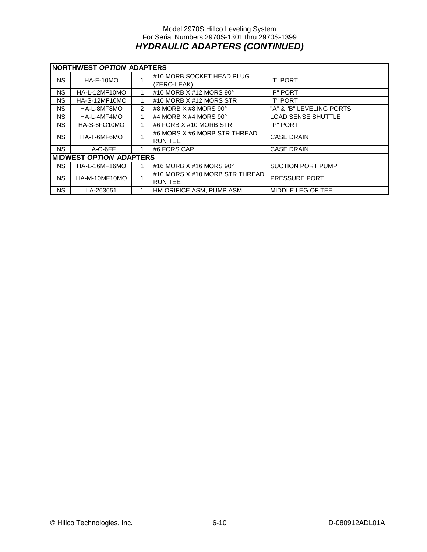#### Model 2970S Hillco Leveling System For Serial Numbers 2970S-1301 thru 2970S-1399 *HYDRAULIC ADAPTERS (CONTINUED)*

|           | NORTHWEST OPTION ADAPTERS      |   |                                                  |                           |  |  |  |  |  |
|-----------|--------------------------------|---|--------------------------------------------------|---------------------------|--|--|--|--|--|
| NS.       | $HA-E-10MO$                    |   | #10 MORB SOCKET HEAD PLUG<br>(ZERO-LEAK)         | "T" PORT                  |  |  |  |  |  |
| NS.       | HA-L-12MF10MO                  |   | #10 MORB X #12 MORS 90°                          | "P" PORT                  |  |  |  |  |  |
| NS.       | HA-S-12MF10MO                  |   | #10 MORB X #12 MORS STR                          | "T" PORT                  |  |  |  |  |  |
| NS.       | HA-L-8MF8MO                    | 2 | I#8 MORB X #8 MORS 90°                           | "A" & "B" LEVELING PORTS  |  |  |  |  |  |
| NS.       | HA-L-4MF4MO                    |   | #4 MORB $X$ #4 MORS 90 $^{\circ}$                | <b>LOAD SENSE SHUTTLE</b> |  |  |  |  |  |
| NS.       | HA-S-6FO10MO                   |   | #6 FORB X #10 MORB STR                           | "P" PORT                  |  |  |  |  |  |
| NS.       | HA-T-6MF6MO                    |   | #6 MORS X #6 MORB STR THREAD<br><b>RUN TEE</b>   | <b>CASE DRAIN</b>         |  |  |  |  |  |
| NS.       | HA-C-6FF                       |   | #6 FORS CAP                                      | <b>CASE DRAIN</b>         |  |  |  |  |  |
|           | <b>MIDWEST OPTION ADAPTERS</b> |   |                                                  |                           |  |  |  |  |  |
| <b>NS</b> | HA-L-16MF16MO                  |   | #16 MORB $X$ #16 MORS 90 $^{\circ}$              | <b>SUCTION PORT PUMP</b>  |  |  |  |  |  |
| NS.       | HA-M-10MF10MO                  | 4 | #10 MORS X #10 MORB STR THREAD<br><b>RUN TEE</b> | PRESSURE PORT             |  |  |  |  |  |
| NS.       | LA-263651                      |   | HM ORIFICE ASM, PUMP ASM                         | MIDDLE LEG OF TEE         |  |  |  |  |  |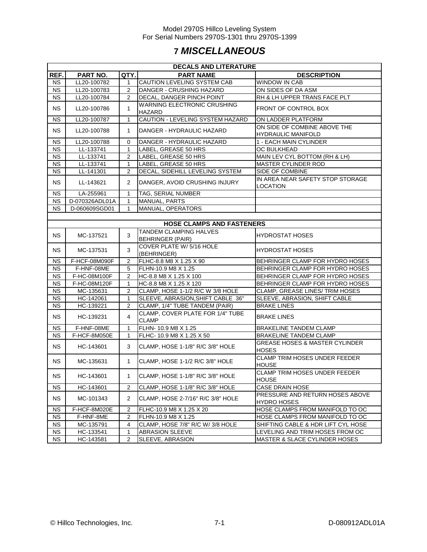### **7** *MISCELLANEOUS*

|           | <b>DECALS AND LITERATURE</b> |                |                                                          |                                                           |  |  |  |  |  |
|-----------|------------------------------|----------------|----------------------------------------------------------|-----------------------------------------------------------|--|--|--|--|--|
| REF.      | PART NO.                     | QTY.           | <b>PART NAME</b>                                         | <b>DESCRIPTION</b>                                        |  |  |  |  |  |
| <b>NS</b> | LL20-100782                  | 1              | <b>CAUTION LEVELING SYSTEM CAB</b>                       | <b>WINDOW IN CAB</b>                                      |  |  |  |  |  |
| <b>NS</b> | LL20-100783                  | $\overline{2}$ | DANGER - CRUSHING HAZARD                                 | ON SIDES OF DA ASM                                        |  |  |  |  |  |
| <b>NS</b> | LL20-100784                  | 2              | DECAL, DANGER PINCH POINT                                | RH & LH UPPER TRANS FACE PLT                              |  |  |  |  |  |
| <b>NS</b> | LL20-100786                  | $\mathbf{1}$   | WARNING ELECTRONIC CRUSHING<br>HAZARD                    | FRONT OF CONTROL BOX                                      |  |  |  |  |  |
| <b>NS</b> | LL20-100787                  | $\mathbf{1}$   | CAUTION - LEVELING SYSTEM HAZARD                         | ON LADDER PLATFORM                                        |  |  |  |  |  |
| <b>NS</b> | LL20-100788                  | 1              | DANGER - HYDRAULIC HAZARD                                | ON SIDE OF COMBINE ABOVE THE<br><b>HYDRAULIC MANIFOLD</b> |  |  |  |  |  |
| <b>NS</b> | LL20-100788                  | 0              | DANGER - HYDRAULIC HAZARD                                | 1 - EACH MAIN CYLINDER                                    |  |  |  |  |  |
| <b>NS</b> | LL-133741                    | $\mathbf{1}$   | LABEL, GREASE 50 HRS                                     | OC BULKHEAD                                               |  |  |  |  |  |
| <b>NS</b> | LL-133741                    | $\overline{2}$ | LABEL, GREASE 50 HRS                                     | MAIN LEV CYL BOTTOM (RH & LH)                             |  |  |  |  |  |
| <b>NS</b> | LL-133741                    | 1              | LABEL, GREASE 50 HRS                                     | MASTER CYLINDER ROD                                       |  |  |  |  |  |
| <b>NS</b> | LL-141301                    | $\overline{2}$ | DECAL, SIDEHILL LEVELING SYSTEM                          | SIDE OF COMBINE                                           |  |  |  |  |  |
| <b>NS</b> | LL-143621                    | 2              | DANGER, AVOID CRUSHING INJURY                            | IN AREA NEAR SAFETY STOP STORAGE<br>LOCATION              |  |  |  |  |  |
| <b>NS</b> | LA-255961                    | $\mathbf{1}$   | TAG, SERIAL NUMBER                                       |                                                           |  |  |  |  |  |
| <b>NS</b> | D-070326ADL01A               | $\mathbf{1}$   | MANUAL, PARTS                                            |                                                           |  |  |  |  |  |
| NS.       | D-060609SGD01                | 1              | MANUAL, OPERATORS                                        |                                                           |  |  |  |  |  |
|           |                              |                |                                                          |                                                           |  |  |  |  |  |
|           |                              |                | <b>HOSE CLAMPS AND FASTENERS</b>                         |                                                           |  |  |  |  |  |
| <b>NS</b> | MC-137521                    | 3              | <b>TANDEM CLAMPING HALVES</b><br><b>BEHRINGER (PAIR)</b> | <b>HYDROSTAT HOSES</b>                                    |  |  |  |  |  |
| <b>NS</b> | 3<br>MC-137531               |                | COVER PLATE W/ 5/16 HOLE<br>(BEHRINGER)                  | <b>HYDROSTAT HOSES</b>                                    |  |  |  |  |  |
| <b>NS</b> | F-HCF-08M090F                | 2              | FLHC-8.8 M8 X 1.25 X 90                                  | BEHRINGER CLAMP FOR HYDRO HOSES                           |  |  |  |  |  |
| <b>NS</b> | F-HNF-08ME                   | 5              | FLHN-10.9 M8 X 1.25                                      | BEHRINGER CLAMP FOR HYDRO HOSES                           |  |  |  |  |  |
| <b>NS</b> | F-HC-08M100F                 | 2              | HC-8.8 M8 X 1.25 X 100                                   | BEHRINGER CLAMP FOR HYDRO HOSES                           |  |  |  |  |  |
| <b>NS</b> | F-HC-08M120F<br>$\mathbf{1}$ |                | HC-8.8 M8 X 1.25 X 120                                   | BEHRINGER CLAMP FOR HYDRO HOSES                           |  |  |  |  |  |
| <b>NS</b> | MC-135631                    | $\overline{2}$ | CLAMP, HOSE 1-1/2 R/C W 3/8 HOLE                         | CLAMP, GREASE LINES/ TRIM HOSES                           |  |  |  |  |  |
| <b>NS</b> | HC-142061                    | $\mathbf{1}$   | SLEEVE, ABRASION, SHIFT CABLE 36"                        | SLEEVE, ABRASION, SHIFT CABLE                             |  |  |  |  |  |
| <b>NS</b> | HC-139221                    | $\overline{2}$ | CLAMP, 1/4" TUBE TANDEM (PAIR)                           | <b>BRAKE LINES</b>                                        |  |  |  |  |  |
| <b>NS</b> | HC-139231                    | 4              | CLAMP, COVER PLATE FOR 1/4" TUBE<br><b>CLAMP</b>         | <b>BRAKE LINES</b>                                        |  |  |  |  |  |
| <b>NS</b> | F-HNF-08ME                   | $\mathbf{1}$   | FLHN- 10.9 M8 X 1.25                                     | BRAKELINE TANDEM CLAMP                                    |  |  |  |  |  |
| <b>NS</b> | F-HCF-8M050E                 | 1              | FLHC-10.9 M8 X 1.25 X 50                                 | BRAKELINE TANDEM CLAMP                                    |  |  |  |  |  |
| <b>NS</b> | HC-143601                    | 3              | CLAMP, HOSE 1-1/8" R/C 3/8" HOLE                         | <b>GREASE HOSES &amp; MASTER CYLINDER</b><br><b>HOSES</b> |  |  |  |  |  |
| NS.       | MC-135631                    | $\mathbf{1}$   | CLAMP, HOSE 1-1/2 R/C 3/8" HOLE                          | CLAMP TRIM HOSES UNDER FEEDER<br><b>HOUSE</b>             |  |  |  |  |  |
| NS        | HC-143601                    | 1              | CLAMP, HOSE 1-1/8" R/C 3/8" HOLE                         | <b>CLAMP TRIM HOSES UNDER FEEDER</b><br><b>HOUSE</b>      |  |  |  |  |  |
| <b>NS</b> | HC-143601                    | 2              | CLAMP, HOSE 1-1/8" R/C 3/8" HOLE                         | <b>CASE DRAIN HOSE</b>                                    |  |  |  |  |  |
| NS        | MC-101343                    | $\overline{2}$ | CLAMP, HOSE 2-7/16" R/C 3/8" HOLE                        | PRESSURE AND RETURN HOSES ABOVE<br>HYDRO HOSES            |  |  |  |  |  |
| NS        | F-HCF-8M020E                 | $\overline{2}$ | FLHC-10.9 M8 X 1.25 X 20                                 | HOSE CLAMPS FROM MANIFOLD TO OC                           |  |  |  |  |  |
| NS.       | F-HNF-8ME                    | 2              | FLHN-10.9 M8 X 1.25                                      | HOSE CLAMPS FROM MANIFOLD TO OC                           |  |  |  |  |  |
| <b>NS</b> | MC-135791                    | 4              | CLAMP, HOSE 7/8" R/C W/ 3/8 HOLE                         | SHIFTING CABLE & HDR LIFT CYL HOSE                        |  |  |  |  |  |
| <b>NS</b> | HC-133541                    | $\mathbf{1}$   | <b>ABRASION SLEEVE</b>                                   | LEVELING AND TRIM HOSES FROM OC                           |  |  |  |  |  |
| <b>NS</b> | HC-143581                    | 2              | SLEEVE, ABRASION                                         | <b>MASTER &amp; SLACE CYLINDER HOSES</b>                  |  |  |  |  |  |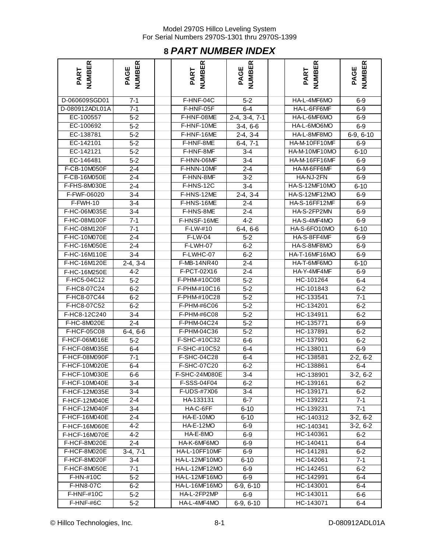### **8** *PART NUMBER INDEX*

| <b>NUMBER</b><br>PART | <b>NUMBER</b><br>PAGE | <b>NUMBER</b><br>PART | NUMBER<br>PAGE              | <b>NUMBER</b><br>PART | <b>NUMBER</b><br>PAGE |
|-----------------------|-----------------------|-----------------------|-----------------------------|-----------------------|-----------------------|
| D-060609SGD01         | $7-1$                 | F-HNF-04C             | $5 - 2$                     | HA-L-4MF6MO           | $6-9$                 |
| D-080912ADL01A        | $7-1$                 | F-HNF-05F             | $6 - 4$                     | HA-L-6FF6MF           | $6-9$                 |
| EC-100557             | $5 - 2$               | F-HNF-08ME            | $\overline{2}$ -4, 3-4, 7-1 | HA-L-6MF6MO           | $6-9$                 |
| EC-100692             | $5 - 2$               | F-HNF-10ME            | $3-4, 6-6$                  | HA-L-6MO6MO           | $6-9$                 |
| EC-138781             | $5 - 2$               | F-HNF-16ME            | $2-4, 3-4$                  | HA-L-8MF8MO           | $6-9, 6-10$           |
| EC-142101             | $5 - 2$               | F-HNF-8ME             | $6-4, 7-1$                  | HA-M-10FF10MF         | $6-9$                 |
| EC-142121             | $5 - 2$               | F-HNF-8MF             | $3 - 4$                     | HA-M-10MF10MO         | $6 - 10$              |
| EC-146481             | $5 - 2$               | F-HNN-06MF            | $3-4$                       | HA-M-16FF16MF         | $6-9$                 |
| F-CB-10M050F          | $2 - 4$               | F-HNN-10MF            | $2 - 4$                     | HA-M-6FF6MF           | $6-9$                 |
| F-CB-16M050E          | $2 - 4$               | F-HNN-8MF             | $3 - 2$                     | HA-NJ-2FN             | $6-9$                 |
| F-FHS-8M030E          | $2 - 4$               | F-HNS-12C             | $3-4$                       | HA-S-12MF10MO         | $6 - 10$              |
| F-FWF-06020           | $3-4$                 | F-HNS-12ME            | $2-4, 3-4$                  | <b>HA-S-12MF12MO</b>  | $6-9$                 |
| F-FWH-10              | $3-4$                 | F-HNS-16ME            | $2 - 4$                     | HA-S-16FF12MF         | $6-9$                 |
| F-HC-06M035E          | $3 - 4$               | F-HNS-8ME             | $\overline{2}$ -4           | HA-S-2FP2MN           | $6-9$                 |
| F-HC-08M100F          | $7 - 1$               | F-HNSF-16ME           | $4 - 2$                     | HA-S-4MF4MO           | $6-9$                 |
| F-HC-08M120F          | $7 - 1$               | F-LW-#10              | $6-4, 6-6$                  | HA-S-6FO10MO          | $6 - 10$              |
| F-HC-10M070E          | $2 - 4$               | F-LW-04               | $5 - 2$                     | HA-S-8FF4MF           | $6-9$                 |
| F-HC-16M050E          | $2 - 4$               | F-LWH-07              | $6 - 2$                     | HA-S-8MF8MO           | $6 - 9$               |
| F-HC-16M110E          | $3-4$                 | F-LWHC-07             | $6 - 2$                     | HA-T-16MF16MO         | $6-9$                 |
| F-HC-16M120E          | $2-4, 3-4$            | F-MB-14NR40           | $2 - 4$                     | HA-T-6MF6MO           | $6 - 10$              |
| F-HC-16M250E          | $4 - 2$               | F-PCT-02X16           | $2 - 4$                     | HA-Y-4MF4MF           | $6-9$                 |
| F-HC5-04C12           | $5 - 2$               | F-PHM-#10C08          | $5 - 2$                     | HC-101264             | $6 - 4$               |
| F-HC8-07C24           | $6 - 2$               | F-PHM-#10C16          | $5 - 2$                     | HC-101843             | $6 - 2$               |
| F-HC8-07C44           | $6 - 2$               | F-PHM-#10C28          | $5 - 2$                     | HC-133541             | $7 - 1$               |
| F-HC8-07C52           | $6 - 2$               | F-PHM-#6C06           | $5 - 2$                     | HC-134201             | $6 - 2$               |
| F-HC8-12C240          | $3 - 4$               | F-PHM-#6C08           | $5 - 2$                     | HC-134911             | $6-2$                 |
| F-HC-8M020E           | $2 - 4$               | F-PHM-04C24           | $5-2$                       | HC-135771             | $6-9$                 |
| F-HCF-05C08           | $6-4, 6-6$            | F-PHM-04C36           | $5 - 2$                     | HC-137891             | $6-2$                 |
| F-HCF-06M016E         | $5 - 2$               | F-SHC-#10C32          | 6-6                         | HC-137901             | $6-2$                 |
| F-HCF-08M035E         | $6-4$                 | F-SHC-#10C52          | 6-4                         | HC-138011             | $6-9$                 |
| F-HCF-08M090F         | $7 - 1$               | F-SHC-04C28           | 6-4                         | HC-138581             | $2-2, 6-2$            |
| F-HCF-10M020E         | $6 - 4$               | F-SHC-07C20           | $6-2$                       | HC-138861             | $6-4$                 |
| F-HCF-10M030E         | 6-6                   | F-SHC-24M080E         | 3-4                         | HC-138901             | $3-2, 6-2$            |
| F-HCF-10M040E         | $3-4$                 | F-SSS-04F04           | $6-2$                       | HC-139161             | $6-2$                 |
| F-HCF-12M035E         | $3 - 4$               | F-UDS-#7X06           | $3-4$                       | HC-139171             | $6-2$                 |
| F-HCF-12M040E         | $2 - 4$               | HA-133131             | $6 - 7$                     | HC-139221             | $7 - 1$               |
| F-HCF-12M040F         | $3 - 4$               | HA-C-6FF              | $6 - 10$                    | HC-139231             | $7 - 1$               |
| F-HCF-16M040E         | $2 - 4$               | HA-E-10MO             | $6 - 10$                    | HC-140312             | $3-2, 6-2$            |
| F-HCF-16M060E         | $4 - 2$               | <b>HA-E-12MO</b>      | $6-9$                       | HC-140341             | $3-2, 6-2$            |
| F-HCF-16M070E         | $4 - 2$               | HA-E-8MO              | $6-9$                       | HC-140361             | $6-2$                 |
| F-HCF-8M020E          | $2 - 4$               | HA-K-6MF6MO           | $6-9$                       | HC-140411             | $6-4$                 |
| F-HCF-8M020E          | $3-4, 7-1$            | HA-L-10FF10MF         | $6-9$                       | HC-141281             | $6 - 2$               |
| F-HCF-8M020F          | 3-4                   | HA-L-12MF10MO         | $6 - 10$                    | HC-142061             | 7-1                   |
| F-HCF-8M050E          | $7-1$                 | HA-L-12MF12MO         | $6-9$                       | HC-142451             | $6-2$                 |
| F-HN-#10C             | $5-2$                 | HA-L-12MF16MO         | $6-9$                       | HC-142991             | 6-4                   |
| <b>F-HN8-07C</b>      | $6-2$                 | HA-L-16MF16MO         | $6-9, 6-10$                 | HC-143001             | 6-4                   |
| <b>F-HNF-#10C</b>     | $5-2$                 | HA-L-2FP2MP           | $6-9$                       | HC-143011             | $6-6$                 |
| F-HNF-#6C             | $5-2$                 | HA-L-4MF4MO           | $6-9, 6-10$                 | HC-143071             | $6-4$                 |

© Hillco Technologies, Inc. 69-1 2009 12ADL01A